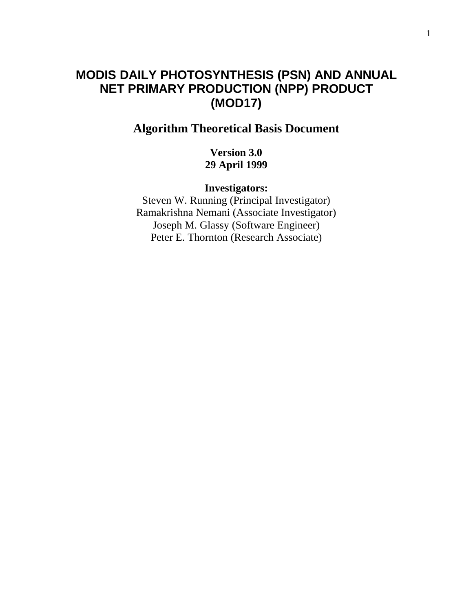# **MODIS DAILY PHOTOSYNTHESIS (PSN) AND ANNUAL NET PRIMARY PRODUCTION (NPP) PRODUCT (MOD17)**

# **Algorithm Theoretical Basis Document**

## **Version 3.0 29 April 1999**

**Investigators:**

Steven W. Running (Principal Investigator) Ramakrishna Nemani (Associate Investigator) Joseph M. Glassy (Software Engineer) Peter E. Thornton (Research Associate)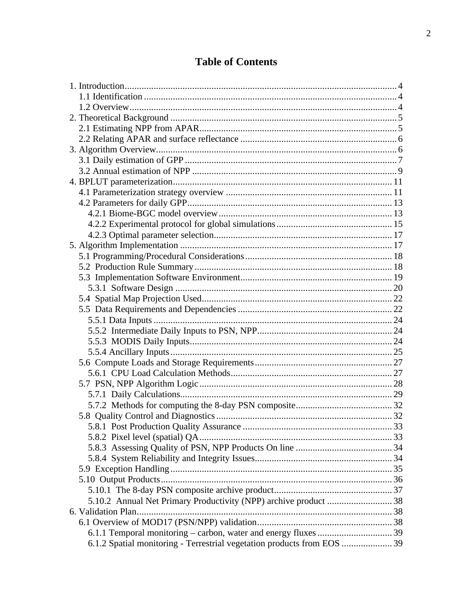| 6.1.2 Spatial monitoring - Terrestrial vegetation products from EOS  39 |
|-------------------------------------------------------------------------|
|                                                                         |

# **Table of Contents**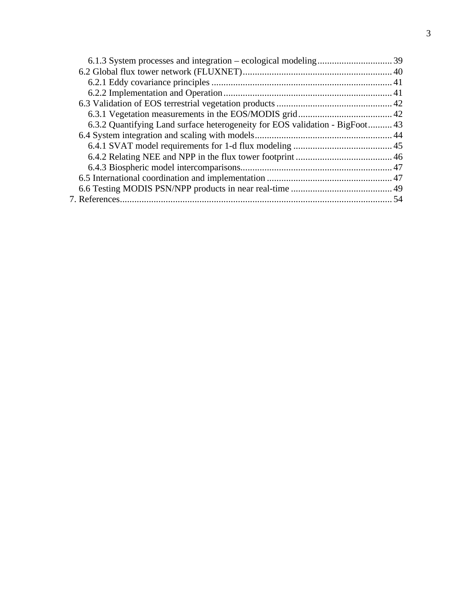| 6.3.2 Quantifying Land surface heterogeneity for EOS validation - BigFoot 43 |  |
|------------------------------------------------------------------------------|--|
|                                                                              |  |
|                                                                              |  |
|                                                                              |  |
|                                                                              |  |
|                                                                              |  |
|                                                                              |  |
|                                                                              |  |
|                                                                              |  |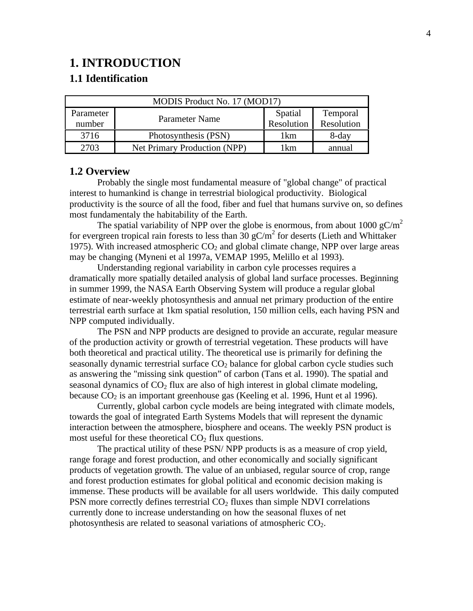## **1. INTRODUCTION**

## **1.1 Identification**

| MODIS Product No. 17 (MOD17) |                              |      |                        |
|------------------------------|------------------------------|------|------------------------|
| Parameter<br>number          | Parameter Name               |      | Temporal<br>Resolution |
| 3716                         | Photosynthesis (PSN)         | 1km  | 8-day                  |
| 2703                         | Net Primary Production (NPP) | l km | annual                 |

#### **1.2 Overview**

Probably the single most fundamental measure of "global change" of practical interest to humankind is change in terrestrial biological productivity. Biological productivity is the source of all the food, fiber and fuel that humans survive on, so defines most fundamentaly the habitability of the Earth.

The spatial variability of NPP over the globe is enormous, from about 1000 gC/m<sup>2</sup> for evergreen tropical rain forests to less than  $30 \text{ gC/m}^2$  for deserts (Lieth and Whittaker 1975). With increased atmospheric  $CO<sub>2</sub>$  and global climate change, NPP over large areas may be changing (Myneni et al 1997a, VEMAP 1995, Melillo et al 1993).

Understanding regional variability in carbon cyle processes requires a dramatically more spatially detailed analysis of global land surface processes. Beginning in summer 1999, the NASA Earth Observing System will produce a regular global estimate of near-weekly photosynthesis and annual net primary production of the entire terrestrial earth surface at 1km spatial resolution, 150 million cells, each having PSN and NPP computed individually.

The PSN and NPP products are designed to provide an accurate, regular measure of the production activity or growth of terrestrial vegetation. These products will have both theoretical and practical utility. The theoretical use is primarily for defining the seasonally dynamic terrestrial surface  $CO<sub>2</sub>$  balance for global carbon cycle studies such as answering the "missing sink question" of carbon (Tans et al. 1990). The spatial and seasonal dynamics of  $CO<sub>2</sub>$  flux are also of high interest in global climate modeling, because  $CO_2$  is an important greenhouse gas (Keeling et al. 1996, Hunt et al 1996).

Currently, global carbon cycle models are being integrated with climate models, towards the goal of integrated Earth Systems Models that will represent the dynamic interaction between the atmosphere, biosphere and oceans. The weekly PSN product is most useful for these theoretical  $CO<sub>2</sub>$  flux questions.

The practical utility of these PSN/ NPP products is as a measure of crop yield, range forage and forest production, and other economically and socially significant products of vegetation growth. The value of an unbiased, regular source of crop, range and forest production estimates for global political and economic decision making is immense. These products will be available for all users worldwide. This daily computed PSN more correctly defines terrestrial  $CO<sub>2</sub>$  fluxes than simple NDVI correlations currently done to increase understanding on how the seasonal fluxes of net photosynthesis are related to seasonal variations of atmospheric  $CO<sub>2</sub>$ .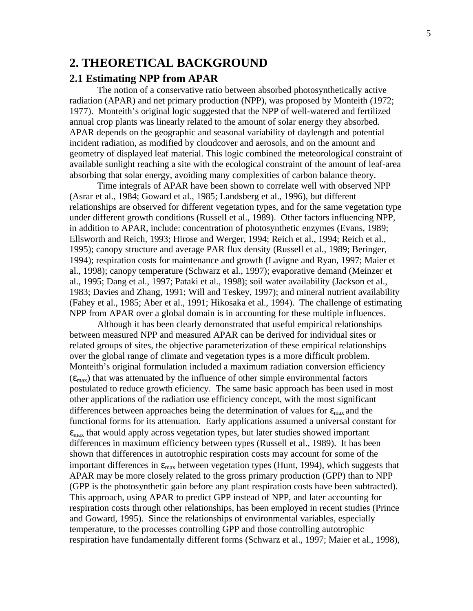## **2. THEORETICAL BACKGROUND**

### **2.1 Estimating NPP from APAR**

The notion of a conservative ratio between absorbed photosynthetically active radiation (APAR) and net primary production (NPP), was proposed by Monteith (1972; 1977). Monteith's original logic suggested that the NPP of well-watered and fertilized annual crop plants was linearly related to the amount of solar energy they absorbed. APAR depends on the geographic and seasonal variability of daylength and potential incident radiation, as modified by cloudcover and aerosols, and on the amount and geometry of displayed leaf material. This logic combined the meteorological constraint of available sunlight reaching a site with the ecological constraint of the amount of leaf-area absorbing that solar energy, avoiding many complexities of carbon balance theory.

Time integrals of APAR have been shown to correlate well with observed NPP (Asrar et al., 1984; Goward et al., 1985; Landsberg et al., 1996), but different relationships are observed for different vegetation types, and for the same vegetation type under different growth conditions (Russell et al., 1989). Other factors influencing NPP, in addition to APAR, include: concentration of photosynthetic enzymes (Evans, 1989; Ellsworth and Reich, 1993; Hirose and Werger, 1994; Reich et al., 1994; Reich et al., 1995); canopy structure and average PAR flux density (Russell et al., 1989; Beringer, 1994); respiration costs for maintenance and growth (Lavigne and Ryan, 1997; Maier et al., 1998); canopy temperature (Schwarz et al., 1997); evaporative demand (Meinzer et al., 1995; Dang et al., 1997; Pataki et al., 1998); soil water availability (Jackson et al., 1983; Davies and Zhang, 1991; Will and Teskey, 1997); and mineral nutrient availability (Fahey et al., 1985; Aber et al., 1991; Hikosaka et al., 1994). The challenge of estimating NPP from APAR over a global domain is in accounting for these multiple influences.

Although it has been clearly demonstrated that useful empirical relationships between measured NPP and measured APAR can be derived for individual sites or related groups of sites, the objective parameterization of these empirical relationships over the global range of climate and vegetation types is a more difficult problem. Monteith's original formulation included a maximum radiation conversion efficiency  $(\epsilon_{\text{max}})$  that was attenuated by the influence of other simple environmental factors postulated to reduce growth eficiency. The same basic approach has been used in most other applications of the radiation use efficiency concept, with the most significant differences between approaches being the determination of values for  $\varepsilon_{\text{max}}$  and the functional forms for its attenuation. Early applications assumed a universal constant for  $\epsilon_{\text{max}}$  that would apply across vegetation types, but later studies showed important differences in maximum efficiency between types (Russell et al., 1989). It has been shown that differences in autotrophic respiration costs may account for some of the important differences in  $\varepsilon_{\text{max}}$  between vegetation types (Hunt, 1994), which suggests that APAR may be more closely related to the gross primary production (GPP) than to NPP (GPP is the photosynthetic gain before any plant respiration costs have been subtracted). This approach, using APAR to predict GPP instead of NPP, and later accounting for respiration costs through other relationships, has been employed in recent studies (Prince and Goward, 1995). Since the relationships of environmental variables, especially temperature, to the processes controlling GPP and those controlling autotrophic respiration have fundamentally different forms (Schwarz et al., 1997; Maier et al., 1998),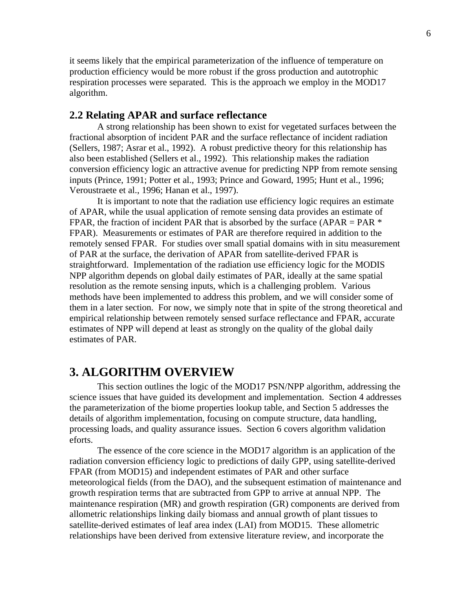it seems likely that the empirical parameterization of the influence of temperature on production efficiency would be more robust if the gross production and autotrophic respiration processes were separated. This is the approach we employ in the MOD17 algorithm.

### **2.2 Relating APAR and surface reflectance**

A strong relationship has been shown to exist for vegetated surfaces between the fractional absorption of incident PAR and the surface reflectance of incident radiation (Sellers, 1987; Asrar et al., 1992). A robust predictive theory for this relationship has also been established (Sellers et al., 1992). This relationship makes the radiation conversion efficiency logic an attractive avenue for predicting NPP from remote sensing inputs (Prince, 1991; Potter et al., 1993; Prince and Goward, 1995; Hunt et al., 1996; Veroustraete et al., 1996; Hanan et al., 1997).

It is important to note that the radiation use efficiency logic requires an estimate of APAR, while the usual application of remote sensing data provides an estimate of FPAR, the fraction of incident PAR that is absorbed by the surface (APAR = PAR  $*$ FPAR). Measurements or estimates of PAR are therefore required in addition to the remotely sensed FPAR. For studies over small spatial domains with in situ measurement of PAR at the surface, the derivation of APAR from satellite-derived FPAR is straightforward. Implementation of the radiation use efficiency logic for the MODIS NPP algorithm depends on global daily estimates of PAR, ideally at the same spatial resolution as the remote sensing inputs, which is a challenging problem. Various methods have been implemented to address this problem, and we will consider some of them in a later section. For now, we simply note that in spite of the strong theoretical and empirical relationship between remotely sensed surface reflectance and FPAR, accurate estimates of NPP will depend at least as strongly on the quality of the global daily estimates of PAR.

## **3. ALGORITHM OVERVIEW**

This section outlines the logic of the MOD17 PSN/NPP algorithm, addressing the science issues that have guided its development and implementation. Section 4 addresses the parameterization of the biome properties lookup table, and Section 5 addresses the details of algorithm implementation, focusing on compute structure, data handling, processing loads, and quality assurance issues. Section 6 covers algorithm validation eforts.

The essence of the core science in the MOD17 algorithm is an application of the radiation conversion efficiency logic to predictions of daily GPP, using satellite-derived FPAR (from MOD15) and independent estimates of PAR and other surface meteorological fields (from the DAO), and the subsequent estimation of maintenance and growth respiration terms that are subtracted from GPP to arrive at annual NPP. The maintenance respiration (MR) and growth respiration (GR) components are derived from allometric relationships linking daily biomass and annual growth of plant tissues to satellite-derived estimates of leaf area index (LAI) from MOD15. These allometric relationships have been derived from extensive literature review, and incorporate the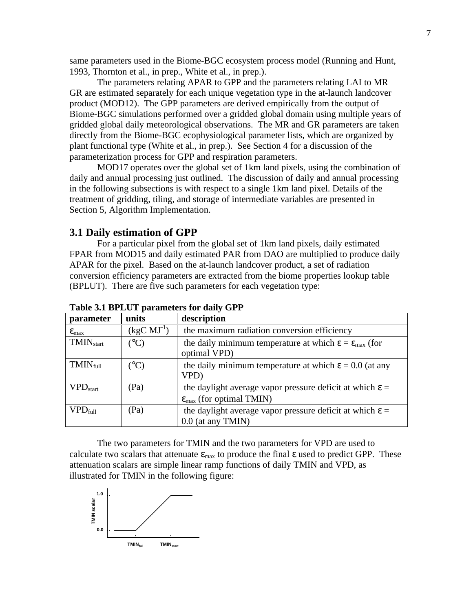same parameters used in the Biome-BGC ecosystem process model (Running and Hunt, 1993, Thornton et al., in prep., White et al., in prep.).

The parameters relating APAR to GPP and the parameters relating LAI to MR GR are estimated separately for each unique vegetation type in the at-launch landcover product (MOD12). The GPP parameters are derived empirically from the output of Biome-BGC simulations performed over a gridded global domain using multiple years of gridded global daily meteorological observations. The MR and GR parameters are taken directly from the Biome-BGC ecophysiological parameter lists, which are organized by plant functional type (White et al., in prep.). See Section 4 for a discussion of the parameterization process for GPP and respiration parameters.

MOD17 operates over the global set of 1km land pixels, using the combination of daily and annual processing just outlined. The discussion of daily and annual processing in the following subsections is with respect to a single 1km land pixel. Details of the treatment of gridding, tiling, and storage of intermediate variables are presented in Section 5, Algorithm Implementation.

## **3.1 Daily estimation of GPP**

For a particular pixel from the global set of 1km land pixels, daily estimated FPAR from MOD15 and daily estimated PAR from DAO are multiplied to produce daily APAR for the pixel. Based on the at-launch landcover product, a set of radiation conversion efficiency parameters are extracted from the biome properties lookup table (BPLUT). There are five such parameters for each vegetation type:

| parameter               | units           | description                                                                                                           |  |
|-------------------------|-----------------|-----------------------------------------------------------------------------------------------------------------------|--|
| $\varepsilon_{\rm max}$ | $(kgC MJ-1)$    | the maximum radiation conversion efficiency                                                                           |  |
| TMIN <sub>start</sub>   | $({}^{\circ}C)$ | the daily minimum temperature at which $\epsilon = \epsilon_{\text{max}}$ (for<br>optimal VPD)                        |  |
| $TMIN_{full}$           | $({}^{\circ}C)$ | the daily minimum temperature at which $\epsilon$ = 0.0 (at any<br>VPD)                                               |  |
| VPD <sub>start</sub>    | (Pa)            | the daylight average vapor pressure deficit at which $\varepsilon$ =<br>$\varepsilon_{\text{max}}$ (for optimal TMIN) |  |
| $VPD_{full}$            | (Pa)            | the daylight average vapor pressure deficit at which $\varepsilon$ =<br>0.0 (at any TMIN)                             |  |

**Table 3.1 BPLUT parameters for daily GPP**

The two parameters for TMIN and the two parameters for VPD are used to calculate two scalars that attenuate  $\varepsilon_{\text{max}}$  to produce the final  $\varepsilon$  used to predict GPP. These attenuation scalars are simple linear ramp functions of daily TMIN and VPD, as illustrated for TMIN in the following figure:

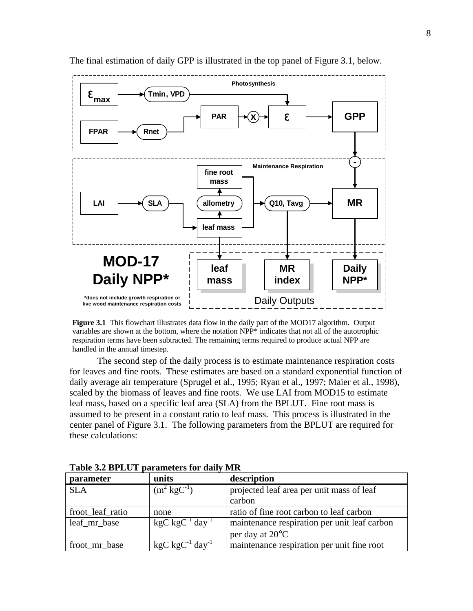

The final estimation of daily GPP is illustrated in the top panel of Figure 3.1, below.

**Figure 3.1** This flowchart illustrates data flow in the daily part of the MOD17 algorithm. Output variables are shown at the bottom, where the notation NPP\* indicates that not all of the autotrophic respiration terms have been subtracted. The remaining terms required to produce actual NPP are handled in the annual timestep.

The second step of the daily process is to estimate maintenance respiration costs for leaves and fine roots. These estimates are based on a standard exponential function of daily average air temperature (Sprugel et al., 1995; Ryan et al., 1997; Maier et al., 1998), scaled by the biomass of leaves and fine roots. We use LAI from MOD15 to estimate leaf mass, based on a specific leaf area (SLA) from the BPLUT. Fine root mass is assumed to be present in a constant ratio to leaf mass. This process is illustrated in the center panel of Figure 3.1. The following parameters from the BPLUT are required for these calculations:

| parameter        | units                                     | description                                  |
|------------------|-------------------------------------------|----------------------------------------------|
| <b>SLA</b>       | $(m^2 \text{ kgC}^{-1})$                  | projected leaf area per unit mass of leaf    |
|                  |                                           | carbon                                       |
| froot_leaf_ratio | none                                      | ratio of fine root carbon to leaf carbon     |
| leaf mr base     | $kgC$ kgC <sup>-1</sup> day <sup>-1</sup> | maintenance respiration per unit leaf carbon |
|                  |                                           | per day at 20°C                              |
| froot_mr_base    | $kgC$ kgC <sup>-1</sup> day <sup>-1</sup> | maintenance respiration per unit fine root   |

**Table 3.2 BPLUT parameters for daily MR**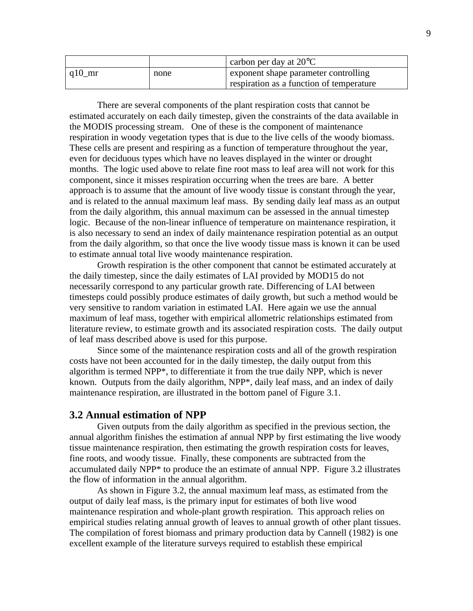|            |      | carbon per day at $20^{\circ}$ C         |
|------------|------|------------------------------------------|
| q $10$ _mr | none | exponent shape parameter controlling     |
|            |      | respiration as a function of temperature |

There are several components of the plant respiration costs that cannot be estimated accurately on each daily timestep, given the constraints of the data available in the MODIS processing stream. One of these is the component of maintenance respiration in woody vegetation types that is due to the live cells of the woody biomass. These cells are present and respiring as a function of temperature throughout the year, even for deciduous types which have no leaves displayed in the winter or drought months. The logic used above to relate fine root mass to leaf area will not work for this component, since it misses respiration occurring when the trees are bare. A better approach is to assume that the amount of live woody tissue is constant through the year, and is related to the annual maximum leaf mass. By sending daily leaf mass as an output from the daily algorithm, this annual maximum can be assessed in the annual timestep logic. Because of the non-linear influence of temperature on maintenance respiration, it is also necessary to send an index of daily maintenance respiration potential as an output from the daily algorithm, so that once the live woody tissue mass is known it can be used to estimate annual total live woody maintenance respiration.

Growth respiration is the other component that cannot be estimated accurately at the daily timestep, since the daily estimates of LAI provided by MOD15 do not necessarily correspond to any particular growth rate. Differencing of LAI between timesteps could possibly produce estimates of daily growth, but such a method would be very sensitive to random variation in estimated LAI. Here again we use the annual maximum of leaf mass, together with empirical allometric relationships estimated from literature review, to estimate growth and its associated respiration costs. The daily output of leaf mass described above is used for this purpose.

Since some of the maintenance respiration costs and all of the growth respiration costs have not been accounted for in the daily timestep, the daily output from this algorithm is termed NPP\*, to differentiate it from the true daily NPP, which is never known. Outputs from the daily algorithm, NPP\*, daily leaf mass, and an index of daily maintenance respiration, are illustrated in the bottom panel of Figure 3.1.

## **3.2 Annual estimation of NPP**

Given outputs from the daily algorithm as specified in the previous section, the annual algorithm finishes the estimation af annual NPP by first estimating the live woody tissue maintenance respiration, then estimating the growth respiration costs for leaves, fine roots, and woody tissue. Finally, these components are subtracted from the accumulated daily NPP\* to produce the an estimate of annual NPP. Figure 3.2 illustrates the flow of information in the annual algorithm.

As shown in Figure 3.2, the annual maximum leaf mass, as estimated from the output of daily leaf mass, is the primary input for estimates of both live wood maintenance respiration and whole-plant growth respiration. This approach relies on empirical studies relating annual growth of leaves to annual growth of other plant tissues. The compilation of forest biomass and primary production data by Cannell (1982) is one excellent example of the literature surveys required to establish these empirical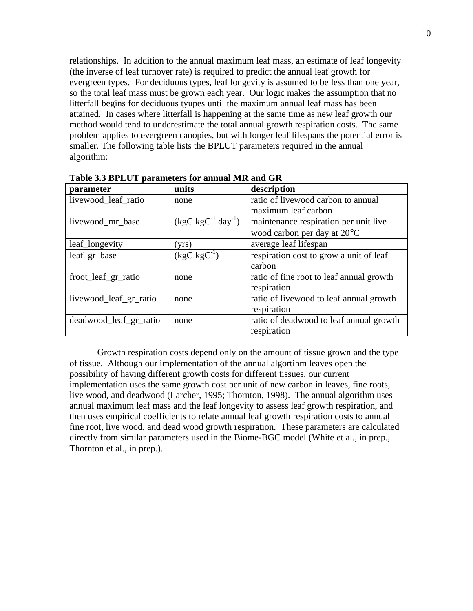relationships. In addition to the annual maximum leaf mass, an estimate of leaf longevity (the inverse of leaf turnover rate) is required to predict the annual leaf growth for evergreen types. For deciduous types, leaf longevity is assumed to be less than one year, so the total leaf mass must be grown each year. Our logic makes the assumption that no litterfall begins for deciduous tyupes until the maximum annual leaf mass has been attained. In cases where litterfall is happening at the same time as new leaf growth our method would tend to underestimate the total annual growth respiration costs. The same problem applies to evergreen canopies, but with longer leaf lifespans the potential error is smaller. The following table lists the BPLUT parameters required in the annual algorithm:

| Table 3.3 DT LIVT parameters for annual fils and OIS |                          |                                          |  |
|------------------------------------------------------|--------------------------|------------------------------------------|--|
| parameter                                            | units                    | description                              |  |
| livewood_leaf_ratio                                  | none                     | ratio of livewood carbon to annual       |  |
|                                                      |                          | maximum leaf carbon                      |  |
| livewood_mr_base                                     | $(kgC kgC^{-1}day^{-1})$ | maintenance respiration per unit live    |  |
|                                                      |                          | wood carbon per day at 20°C              |  |
| leaf_longevity                                       | (yrs)                    | average leaf lifespan                    |  |
| leaf_gr_base                                         | $(kgC kgC^{-1})$         | respiration cost to grow a unit of leaf  |  |
|                                                      |                          | carbon                                   |  |
| froot_leaf_gr_ratio                                  | none                     | ratio of fine root to leaf annual growth |  |
|                                                      |                          | respiration                              |  |
| livewood leaf gr ratio                               | none                     | ratio of livewood to leaf annual growth  |  |
|                                                      |                          | respiration                              |  |
| deadwood_leaf_gr_ratio                               | none                     | ratio of deadwood to leaf annual growth  |  |
|                                                      |                          | respiration                              |  |

**Table 3.3 BPLUT parameters for annual MR and GR**

Growth respiration costs depend only on the amount of tissue grown and the type of tissue. Although our implementation of the annual algortihm leaves open the possibility of having different growth costs for different tissues, our current implementation uses the same growth cost per unit of new carbon in leaves, fine roots, live wood, and deadwood (Larcher, 1995; Thornton, 1998). The annual algorithm uses annual maximum leaf mass and the leaf longevity to assess leaf growth respiration, and then uses empirical coefficients to relate annual leaf growth respiration costs to annual fine root, live wood, and dead wood growth respiration. These parameters are calculated directly from similar parameters used in the Biome-BGC model (White et al., in prep., Thornton et al., in prep.).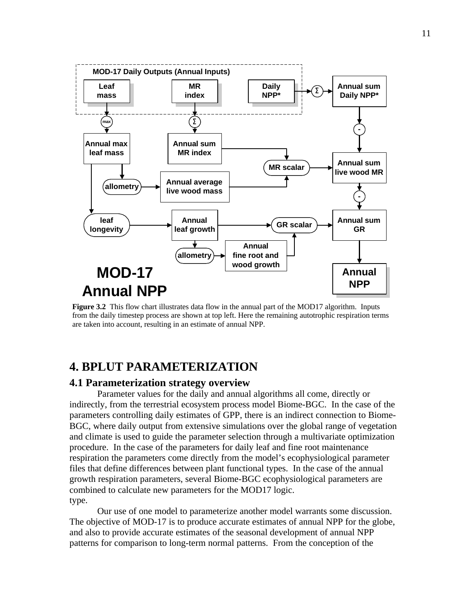

**Figure 3.2** This flow chart illustrates data flow in the annual part of the MOD17 algorithm. Inputs from the daily timestep process are shown at top left. Here the remaining autotrophic respiration terms are taken into account, resulting in an estimate of annual NPP.

## **4. BPLUT PARAMETERIZATION**

## **4.1 Parameterization strategy overview**

Parameter values for the daily and annual algorithms all come, directly or indirectly, from the terrestrial ecosystem process model Biome-BGC. In the case of the parameters controlling daily estimates of GPP, there is an indirect connection to Biome-BGC, where daily output from extensive simulations over the global range of vegetation and climate is used to guide the parameter selection through a multivariate optimization procedure. In the case of the parameters for daily leaf and fine root maintenance respiration the parameters come directly from the model's ecophysiological parameter files that define differences between plant functional types. In the case of the annual growth respiration parameters, several Biome-BGC ecophysiological parameters are combined to calculate new parameters for the MOD17 logic. type.

Our use of one model to parameterize another model warrants some discussion. The objective of MOD-17 is to produce accurate estimates of annual NPP for the globe, and also to provide accurate estimates of the seasonal development of annual NPP patterns for comparison to long-term normal patterns. From the conception of the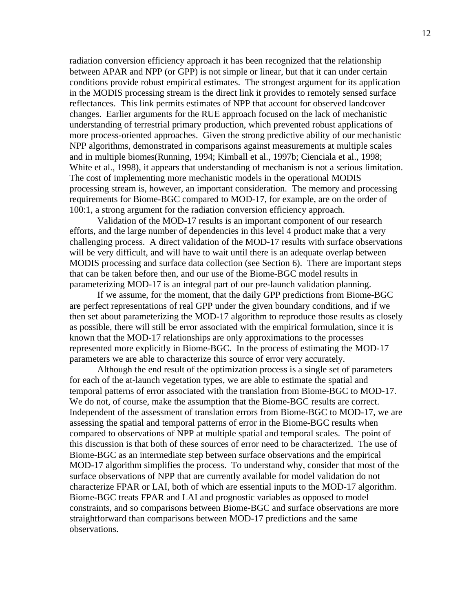radiation conversion efficiency approach it has been recognized that the relationship between APAR and NPP (or GPP) is not simple or linear, but that it can under certain conditions provide robust empirical estimates. The strongest argument for its application in the MODIS processing stream is the direct link it provides to remotely sensed surface reflectances. This link permits estimates of NPP that account for observed landcover changes. Earlier arguments for the RUE approach focused on the lack of mechanistic understanding of terrestrial primary production, which prevented robust applications of more process-oriented approaches. Given the strong predictive ability of our mechanistic NPP algorithms, demonstrated in comparisons against measurements at multiple scales and in multiple biomes(Running, 1994; Kimball et al., 1997b; Cienciala et al., 1998; White et al., 1998), it appears that understanding of mechanism is not a serious limitation. The cost of implementing more mechanistic models in the operational MODIS processing stream is, however, an important consideration. The memory and processing requirements for Biome-BGC compared to MOD-17, for example, are on the order of 100:1, a strong argument for the radiation conversion efficiency approach.

Validation of the MOD-17 results is an important component of our research efforts, and the large number of dependencies in this level 4 product make that a very challenging process. A direct validation of the MOD-17 results with surface observations will be very difficult, and will have to wait until there is an adequate overlap between MODIS processing and surface data collection (see Section 6). There are important steps that can be taken before then, and our use of the Biome-BGC model results in parameterizing MOD-17 is an integral part of our pre-launch validation planning.

If we assume, for the moment, that the daily GPP predictions from Biome-BGC are perfect representations of real GPP under the given boundary conditions, and if we then set about parameterizing the MOD-17 algorithm to reproduce those results as closely as possible, there will still be error associated with the empirical formulation, since it is known that the MOD-17 relationships are only approximations to the processes represented more explicitly in Biome-BGC. In the process of estimating the MOD-17 parameters we are able to characterize this source of error very accurately.

Although the end result of the optimization process is a single set of parameters for each of the at-launch vegetation types, we are able to estimate the spatial and temporal patterns of error associated with the translation from Biome-BGC to MOD-17. We do not, of course, make the assumption that the Biome-BGC results are correct. Independent of the assessment of translation errors from Biome-BGC to MOD-17, we are assessing the spatial and temporal patterns of error in the Biome-BGC results when compared to observations of NPP at multiple spatial and temporal scales. The point of this discussion is that both of these sources of error need to be characterized. The use of Biome-BGC as an intermediate step between surface observations and the empirical MOD-17 algorithm simplifies the process. To understand why, consider that most of the surface observations of NPP that are currently available for model validation do not characterize FPAR or LAI, both of which are essential inputs to the MOD-17 algorithm. Biome-BGC treats FPAR and LAI and prognostic variables as opposed to model constraints, and so comparisons between Biome-BGC and surface observations are more straightforward than comparisons between MOD-17 predictions and the same observations.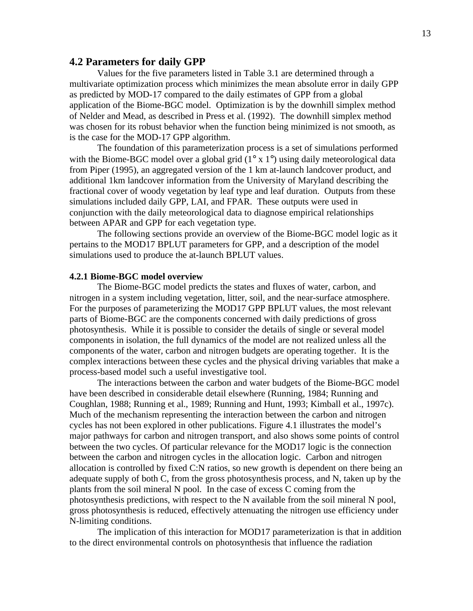### **4.2 Parameters for daily GPP**

Values for the five parameters listed in Table 3.1 are determined through a multivariate optimization process which minimizes the mean absolute error in daily GPP as predicted by MOD-17 compared to the daily estimates of GPP from a global application of the Biome-BGC model. Optimization is by the downhill simplex method of Nelder and Mead, as described in Press et al. (1992). The downhill simplex method was chosen for its robust behavior when the function being minimized is not smooth, as is the case for the MOD-17 GPP algorithm.

The foundation of this parameterization process is a set of simulations performed with the Biome-BGC model over a global grid  $(1^{\circ} \times 1^{\circ})$  using daily meteorological data from Piper (1995), an aggregated version of the 1 km at-launch landcover product, and additional 1km landcover information from the University of Maryland describing the fractional cover of woody vegetation by leaf type and leaf duration. Outputs from these simulations included daily GPP, LAI, and FPAR. These outputs were used in conjunction with the daily meteorological data to diagnose empirical relationships between APAR and GPP for each vegetation type.

The following sections provide an overview of the Biome-BGC model logic as it pertains to the MOD17 BPLUT parameters for GPP, and a description of the model simulations used to produce the at-launch BPLUT values.

### **4.2.1 Biome-BGC model overview**

The Biome-BGC model predicts the states and fluxes of water, carbon, and nitrogen in a system including vegetation, litter, soil, and the near-surface atmosphere. For the purposes of parameterizing the MOD17 GPP BPLUT values, the most relevant parts of Biome-BGC are the components concerned with daily predictions of gross photosynthesis. While it is possible to consider the details of single or several model components in isolation, the full dynamics of the model are not realized unless all the components of the water, carbon and nitrogen budgets are operating together. It is the complex interactions between these cycles and the physical driving variables that make a process-based model such a useful investigative tool.

The interactions between the carbon and water budgets of the Biome-BGC model have been described in considerable detail elsewhere (Running, 1984; Running and Coughlan, 1988; Running et al., 1989; Running and Hunt, 1993; Kimball et al., 1997c). Much of the mechanism representing the interaction between the carbon and nitrogen cycles has not been explored in other publications. Figure 4.1 illustrates the model's major pathways for carbon and nitrogen transport, and also shows some points of control between the two cycles. Of particular relevance for the MOD17 logic is the connection between the carbon and nitrogen cycles in the allocation logic. Carbon and nitrogen allocation is controlled by fixed C:N ratios, so new growth is dependent on there being an adequate supply of both C, from the gross photosynthesis process, and N, taken up by the plants from the soil mineral N pool. In the case of excess C coming from the photosynthesis predictions, with respect to the N available from the soil mineral N pool, gross photosynthesis is reduced, effectively attenuating the nitrogen use efficiency under N-limiting conditions.

The implication of this interaction for MOD17 parameterization is that in addition to the direct environmental controls on photosynthesis that influence the radiation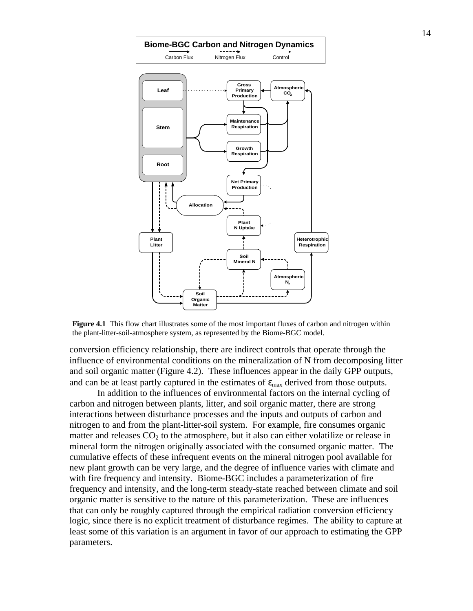

**Figure 4.1** This flow chart illustrates some of the most important fluxes of carbon and nitrogen within the plant-litter-soil-atmosphere system, as represented by the Biome-BGC model.

conversion efficiency relationship, there are indirect controls that operate through the influence of environmental conditions on the mineralization of N from decomposing litter and soil organic matter (Figure 4.2). These influences appear in the daily GPP outputs, and can be at least partly captured in the estimates of  $\varepsilon_{\text{max}}$  derived from those outputs.

In addition to the influences of environmental factors on the internal cycling of carbon and nitrogen between plants, litter, and soil organic matter, there are strong interactions between disturbance processes and the inputs and outputs of carbon and nitrogen to and from the plant-litter-soil system. For example, fire consumes organic matter and releases  $CO<sub>2</sub>$  to the atmosphere, but it also can either volatilize or release in mineral form the nitrogen originally associated with the consumed organic matter. The cumulative effects of these infrequent events on the mineral nitrogen pool available for new plant growth can be very large, and the degree of influence varies with climate and with fire frequency and intensity. Biome-BGC includes a parameterization of fire frequency and intensity, and the long-term steady-state reached between climate and soil organic matter is sensitive to the nature of this parameterization. These are influences that can only be roughly captured through the empirical radiation conversion efficiency logic, since there is no explicit treatment of disturbance regimes. The ability to capture at least some of this variation is an argument in favor of our approach to estimating the GPP parameters.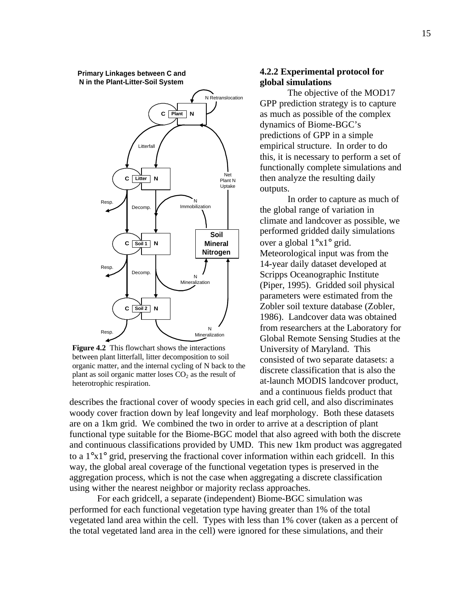#### **Primary Linkages between C and N in the Plant-Litter-Soil System**



**Figure 4.2** This flowchart shows the interactions between plant litterfall, litter decomposition to soil organic matter, and the internal cycling of N back to the plant as soil organic matter loses  $CO<sub>2</sub>$  as the result of heterotrophic respiration.

### **4.2.2 Experimental protocol for global simulations**

The objective of the MOD17 GPP prediction strategy is to capture as much as possible of the complex dynamics of Biome-BGC's predictions of GPP in a simple empirical structure. In order to do this, it is necessary to perform a set of functionally complete simulations and then analyze the resulting daily outputs.

In order to capture as much of the global range of variation in climate and landcover as possible, we performed gridded daily simulations over a global  $1^{\circ}x1^{\circ}$  grid. Meteorological input was from the 14-year daily dataset developed at Scripps Oceanographic Institute (Piper, 1995). Gridded soil physical parameters were estimated from the Zobler soil texture database (Zobler, 1986). Landcover data was obtained from researchers at the Laboratory for Global Remote Sensing Studies at the University of Maryland. This consisted of two separate datasets: a discrete classification that is also the at-launch MODIS landcover product, and a continuous fields product that

describes the fractional cover of woody species in each grid cell, and also discriminates woody cover fraction down by leaf longevity and leaf morphology. Both these datasets are on a 1km grid. We combined the two in order to arrive at a description of plant functional type suitable for the Biome-BGC model that also agreed with both the discrete and continuous classifications provided by UMD. This new 1km product was aggregated to a  $1^{\circ}x1^{\circ}$  grid, preserving the fractional cover information within each gridcell. In this way, the global areal coverage of the functional vegetation types is preserved in the aggregation process, which is not the case when aggregating a discrete classification using wither the nearest neighbor or majority reclass approaches.

For each gridcell, a separate (independent) Biome-BGC simulation was performed for each functional vegetation type having greater than 1% of the total vegetated land area within the cell. Types with less than 1% cover (taken as a percent of the total vegetated land area in the cell) were ignored for these simulations, and their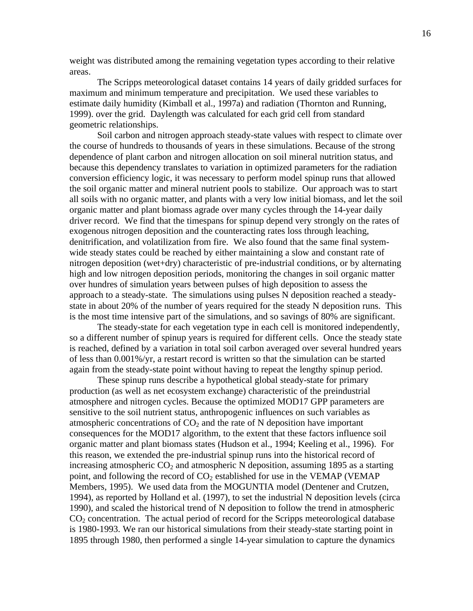weight was distributed among the remaining vegetation types according to their relative areas.

The Scripps meteorological dataset contains 14 years of daily gridded surfaces for maximum and minimum temperature and precipitation. We used these variables to estimate daily humidity (Kimball et al., 1997a) and radiation (Thornton and Running, 1999). over the grid. Daylength was calculated for each grid cell from standard geometric relationships.

Soil carbon and nitrogen approach steady-state values with respect to climate over the course of hundreds to thousands of years in these simulations. Because of the strong dependence of plant carbon and nitrogen allocation on soil mineral nutrition status, and because this dependency translates to variation in optimized parameters for the radiation conversion efficiency logic, it was necessary to perform model spinup runs that allowed the soil organic matter and mineral nutrient pools to stabilize. Our approach was to start all soils with no organic matter, and plants with a very low initial biomass, and let the soil organic matter and plant biomass agrade over many cycles through the 14-year daily driver record. We find that the timespans for spinup depend very strongly on the rates of exogenous nitrogen deposition and the counteracting rates loss through leaching, denitrification, and volatilization from fire. We also found that the same final systemwide steady states could be reached by either maintaining a slow and constant rate of nitrogen deposition (wet+dry) characteristic of pre-industrial conditions, or by alternating high and low nitrogen deposition periods, monitoring the changes in soil organic matter over hundres of simulation years between pulses of high deposition to assess the approach to a steady-state. The simulations using pulses N deposition reached a steadystate in about 20% of the number of years required for the steady N deposition runs. This is the most time intensive part of the simulations, and so savings of 80% are significant.

The steady-state for each vegetation type in each cell is monitored independently, so a different number of spinup years is required for different cells. Once the steady state is reached, defined by a variation in total soil carbon averaged over several hundred years of less than 0.001%/yr, a restart record is written so that the simulation can be started again from the steady-state point without having to repeat the lengthy spinup period.

These spinup runs describe a hypothetical global steady-state for primary production (as well as net ecosystem exchange) characteristic of the preindustrial atmosphere and nitrogen cycles. Because the optimized MOD17 GPP parameters are sensitive to the soil nutrient status, anthropogenic influences on such variables as atmospheric concentrations of  $CO<sub>2</sub>$  and the rate of N deposition have important consequences for the MOD17 algorithm, to the extent that these factors influence soil organic matter and plant biomass states (Hudson et al., 1994; Keeling et al., 1996). For this reason, we extended the pre-industrial spinup runs into the historical record of increasing atmospheric  $CO<sub>2</sub>$  and atmospheric N deposition, assuming 1895 as a starting point, and following the record of  $CO<sub>2</sub>$  established for use in the VEMAP (VEMAP Members, 1995). We used data from the MOGUNTIA model (Dentener and Crutzen, 1994), as reported by Holland et al. (1997), to set the industrial N deposition levels (circa 1990), and scaled the historical trend of N deposition to follow the trend in atmospheric  $CO<sub>2</sub>$  concentration. The actual period of record for the Scripps meteorological database is 1980-1993. We ran our historical simulations from their steady-state starting point in 1895 through 1980, then performed a single 14-year simulation to capture the dynamics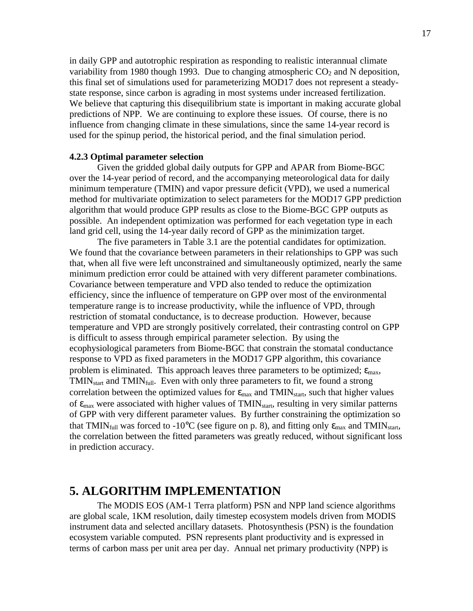in daily GPP and autotrophic respiration as responding to realistic interannual climate variability from 1980 though 1993. Due to changing atmospheric  $CO<sub>2</sub>$  and N deposition, this final set of simulations used for parameterizing MOD17 does not represent a steadystate response, since carbon is agrading in most systems under increased fertilization. We believe that capturing this disequilibrium state is important in making accurate global predictions of NPP. We are continuing to explore these issues. Of course, there is no influence from changing climate in these simulations, since the same 14-year record is used for the spinup period, the historical period, and the final simulation period.

#### **4.2.3 Optimal parameter selection**

Given the gridded global daily outputs for GPP and APAR from Biome-BGC over the 14-year period of record, and the accompanying meteorological data for daily minimum temperature (TMIN) and vapor pressure deficit (VPD), we used a numerical method for multivariate optimization to select parameters for the MOD17 GPP prediction algorithm that would produce GPP results as close to the Biome-BGC GPP outputs as possible. An independent optimization was performed for each vegetation type in each land grid cell, using the 14-year daily record of GPP as the minimization target.

The five parameters in Table 3.1 are the potential candidates for optimization. We found that the covariance between parameters in their relationships to GPP was such that, when all five were left unconstrained and simultaneously optimized, nearly the same minimum prediction error could be attained with very different parameter combinations. Covariance between temperature and VPD also tended to reduce the optimization efficiency, since the influence of temperature on GPP over most of the environmental temperature range is to increase productivity, while the influence of VPD, through restriction of stomatal conductance, is to decrease production. However, because temperature and VPD are strongly positively correlated, their contrasting control on GPP is difficult to assess through empirical parameter selection. By using the ecophysiological parameters from Biome-BGC that constrain the stomatal conductance response to VPD as fixed parameters in the MOD17 GPP algorithm, this covariance problem is eliminated. This approach leaves three parameters to be optimized;  $\epsilon_{\text{max}}$ ,  $TMIN<sub>start</sub>$  and  $TMIN<sub>full</sub>$ . Even with only three parameters to fit, we found a strong correlation between the optimized values for  $\varepsilon_{\text{max}}$  and TMIN<sub>start</sub>, such that higher values of  $\varepsilon_{\text{max}}$  were associated with higher values of TMIN<sub>start</sub>, resulting in very similar patterns of GPP with very different parameter values. By further constraining the optimization so that TMIN<sub>full</sub> was forced to -10<sup>o</sup>C (see figure on p. 8), and fitting only  $\epsilon_{\text{max}}$  and TMIN<sub>start</sub>, the correlation between the fitted parameters was greatly reduced, without significant loss in prediction accuracy.

## **5. ALGORITHM IMPLEMENTATION**

The MODIS EOS (AM-1 Terra platform) PSN and NPP land science algorithms are global scale, 1KM resolution, daily timestep ecosystem models driven from MODIS instrument data and selected ancillary datasets. Photosynthesis (PSN) is the foundation ecosystem variable computed. PSN represents plant productivity and is expressed in terms of carbon mass per unit area per day. Annual net primary productivity (NPP) is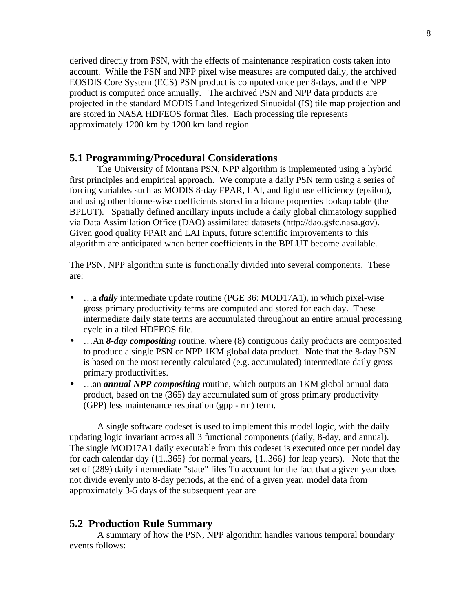derived directly from PSN, with the effects of maintenance respiration costs taken into account. While the PSN and NPP pixel wise measures are computed daily, the archived EOSDIS Core System (ECS) PSN product is computed once per 8-days, and the NPP product is computed once annually. The archived PSN and NPP data products are projected in the standard MODIS Land Integerized Sinuoidal (IS) tile map projection and are stored in NASA HDFEOS format files. Each processing tile represents approximately 1200 km by 1200 km land region.

## **5.1 Programming/Procedural Considerations**

The University of Montana PSN, NPP algorithm is implemented using a hybrid first principles and empirical approach. We compute a daily PSN term using a series of forcing variables such as MODIS 8-day FPAR, LAI, and light use efficiency (epsilon), and using other biome-wise coefficients stored in a biome properties lookup table (the BPLUT). Spatially defined ancillary inputs include a daily global climatology supplied via Data Assimilation Office (DAO) assimilated datasets (http://dao.gsfc.nasa.gov). Given good quality FPAR and LAI inputs, future scientific improvements to this algorithm are anticipated when better coefficients in the BPLUT become available.

The PSN, NPP algorithm suite is functionally divided into several components. These are:

- …a *daily* intermediate update routine (PGE 36: MOD17A1), in which pixel-wise gross primary productivity terms are computed and stored for each day. These intermediate daily state terms are accumulated throughout an entire annual processing cycle in a tiled HDFEOS file.
- …An *8-day compositing* routine, where (8) contiguous daily products are composited to produce a single PSN or NPP 1KM global data product. Note that the 8-day PSN is based on the most recently calculated (e.g. accumulated) intermediate daily gross primary productivities.
- …an *annual NPP compositing* routine, which outputs an 1KM global annual data product, based on the (365) day accumulated sum of gross primary productivity (GPP) less maintenance respiration (gpp - rm) term.

A single software codeset is used to implement this model logic, with the daily updating logic invariant across all 3 functional components (daily, 8-day, and annual). The single MOD17A1 daily executable from this codeset is executed once per model day for each calendar day ({1..365} for normal years, {1..366} for leap years). Note that the set of (289) daily intermediate "state" files To account for the fact that a given year does not divide evenly into 8-day periods, at the end of a given year, model data from approximately 3-5 days of the subsequent year are

## **5.2 Production Rule Summary**

A summary of how the PSN, NPP algorithm handles various temporal boundary events follows: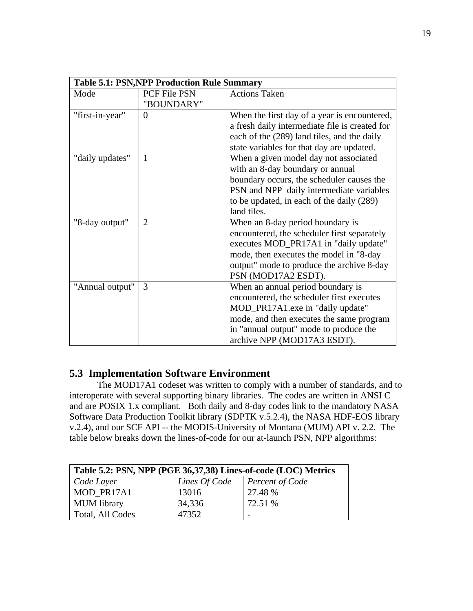| <b>Table 5.1: PSN, NPP Production Rule Summary</b> |                |                                                |
|----------------------------------------------------|----------------|------------------------------------------------|
| Mode                                               | PCF File PSN   | <b>Actions Taken</b>                           |
|                                                    | "BOUNDARY"     |                                                |
| "first-in-year"                                    | $\overline{0}$ | When the first day of a year is encountered,   |
|                                                    |                | a fresh daily intermediate file is created for |
|                                                    |                | each of the (289) land tiles, and the daily    |
|                                                    |                | state variables for that day are updated.      |
| "daily updates"                                    | 1              | When a given model day not associated          |
|                                                    |                | with an 8-day boundary or annual               |
|                                                    |                | boundary occurs, the scheduler causes the      |
|                                                    |                | PSN and NPP daily intermediate variables       |
|                                                    |                | to be updated, in each of the daily (289)      |
|                                                    |                | land tiles.                                    |
| "8-day output"                                     | $\overline{2}$ | When an 8-day period boundary is               |
|                                                    |                | encountered, the scheduler first separately    |
|                                                    |                | executes MOD_PR17A1 in "daily update"          |
|                                                    |                | mode, then executes the model in "8-day        |
|                                                    |                | output" mode to produce the archive 8-day      |
|                                                    |                | PSN (MOD17A2 ESDT).                            |
| "Annual output"                                    | 3              | When an annual period boundary is              |
|                                                    |                | encountered, the scheduler first executes      |
|                                                    |                | MOD_PR17A1.exe in "daily update"               |
|                                                    |                | mode, and then executes the same program       |
|                                                    |                | in "annual output" mode to produce the         |
|                                                    |                | archive NPP (MOD17A3 ESDT).                    |

## **5.3 Implementation Software Environment**

The MOD17A1 codeset was written to comply with a number of standards, and to interoperate with several supporting binary libraries. The codes are written in ANSI C and are POSIX 1.x compliant. Both daily and 8-day codes link to the mandatory NASA Software Data Production Toolkit library (SDPTK v.5.2.4), the NASA HDF-EOS library v.2.4), and our SCF API -- the MODIS-University of Montana (MUM) API v. 2.2. The table below breaks down the lines-of-code for our at-launch PSN, NPP algorithms:

| Table 5.2: PSN, NPP (PGE 36,37,38) Lines-of-code (LOC) Metrics |               |                        |  |
|----------------------------------------------------------------|---------------|------------------------|--|
| Code Layer                                                     | Lines Of Code | <b>Percent of Code</b> |  |
| MOD PR17A1                                                     | 13016         | 27.48 %                |  |
| <b>MUM</b> library                                             | 34,336        | 72.51 %                |  |
| Total, All Codes                                               | 47352         |                        |  |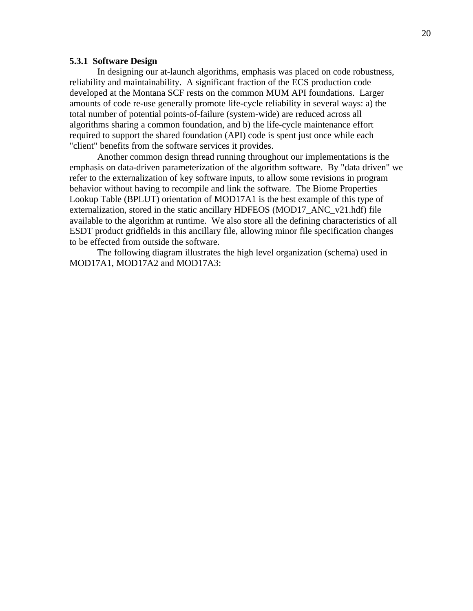#### **5.3.1 Software Design**

In designing our at-launch algorithms, emphasis was placed on code robustness, reliability and maintainability. A significant fraction of the ECS production code developed at the Montana SCF rests on the common MUM API foundations. Larger amounts of code re-use generally promote life-cycle reliability in several ways: a) the total number of potential points-of-failure (system-wide) are reduced across all algorithms sharing a common foundation, and b) the life-cycle maintenance effort required to support the shared foundation (API) code is spent just once while each "client" benefits from the software services it provides.

Another common design thread running throughout our implementations is the emphasis on data-driven parameterization of the algorithm software. By "data driven" we refer to the externalization of key software inputs, to allow some revisions in program behavior without having to recompile and link the software. The Biome Properties Lookup Table (BPLUT) orientation of MOD17A1 is the best example of this type of externalization, stored in the static ancillary HDFEOS (MOD17\_ANC\_v21.hdf) file available to the algorithm at runtime. We also store all the defining characteristics of all ESDT product gridfields in this ancillary file, allowing minor file specification changes to be effected from outside the software.

The following diagram illustrates the high level organization (schema) used in MOD17A1, MOD17A2 and MOD17A3: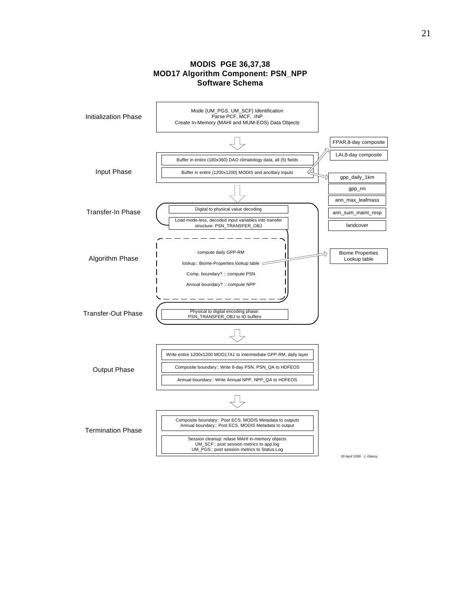

#### **MODIS PGE 36,37,38 MOD17 Algorithm Component: PSN\_NPP Software Schema**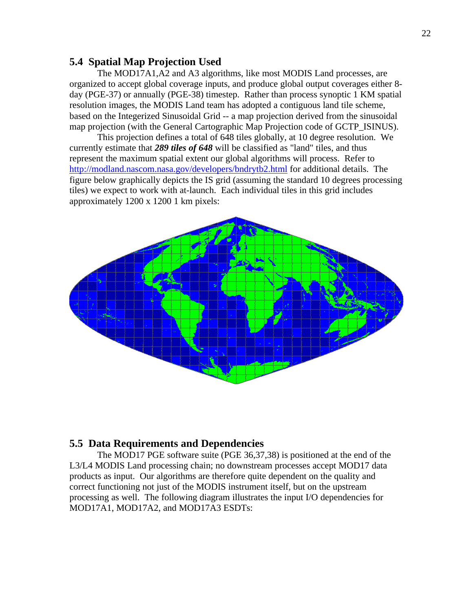## **5.4 Spatial Map Projection Used**

The MOD17A1,A2 and A3 algorithms, like most MODIS Land processes, are organized to accept global coverage inputs, and produce global output coverages either 8 day (PGE-37) or annually (PGE-38) timestep. Rather than process synoptic 1 KM spatial resolution images, the MODIS Land team has adopted a contiguous land tile scheme, based on the Integerized Sinusoidal Grid -- a map projection derived from the sinusoidal map projection (with the General Cartographic Map Projection code of GCTP\_ISINUS).

This projection defines a total of 648 tiles globally, at 10 degree resolution. We currently estimate that *289 tiles of 648* will be classified as "land" tiles, and thus represent the maximum spatial extent our global algorithms will process. Refer to http://modland.nascom.nasa.gov/developers/bndrytb2.html for additional details. The figure below graphically depicts the IS grid (assuming the standard 10 degrees processing tiles) we expect to work with at-launch. Each individual tiles in this grid includes approximately 1200 x 1200 1 km pixels:



## **5.5 Data Requirements and Dependencies**

The MOD17 PGE software suite (PGE 36,37,38) is positioned at the end of the L3/L4 MODIS Land processing chain; no downstream processes accept MOD17 data products as input. Our algorithms are therefore quite dependent on the quality and correct functioning not just of the MODIS instrument itself, but on the upstream processing as well. The following diagram illustrates the input I/O dependencies for MOD17A1, MOD17A2, and MOD17A3 ESDTs: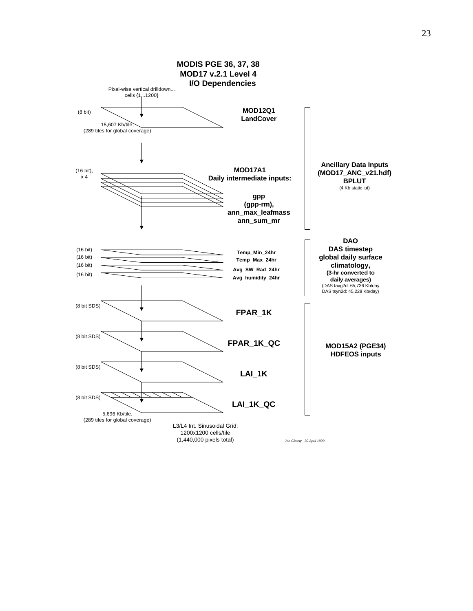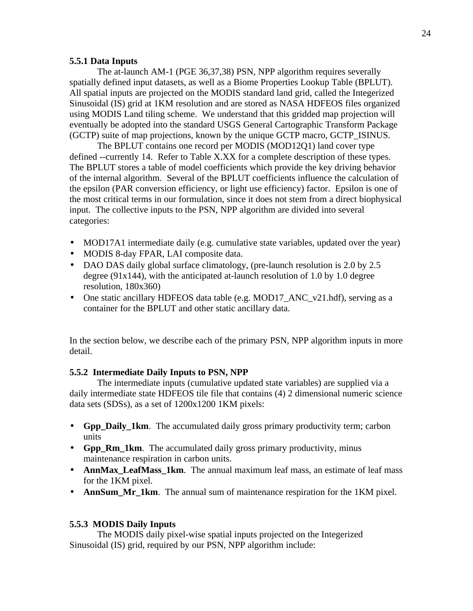#### **5.5.1 Data Inputs**

The at-launch AM-1 (PGE 36,37,38) PSN, NPP algorithm requires severally spatially defined input datasets, as well as a Biome Properties Lookup Table (BPLUT). All spatial inputs are projected on the MODIS standard land grid, called the Integerized Sinusoidal (IS) grid at 1KM resolution and are stored as NASA HDFEOS files organized using MODIS Land tiling scheme. We understand that this gridded map projection will eventually be adopted into the standard USGS General Cartographic Transform Package (GCTP) suite of map projections, known by the unique GCTP macro, GCTP\_ISINUS.

The BPLUT contains one record per MODIS (MOD12Q1) land cover type defined --currently 14. Refer to Table X.XX for a complete description of these types. The BPLUT stores a table of model coefficients which provide the key driving behavior of the internal algorithm. Several of the BPLUT coefficients influence the calculation of the epsilon (PAR conversion efficiency, or light use efficiency) factor. Epsilon is one of the most critical terms in our formulation, since it does not stem from a direct biophysical input. The collective inputs to the PSN, NPP algorithm are divided into several categories:

- MOD17A1 intermediate daily (e.g. cumulative state variables, updated over the year)
- MODIS 8-day FPAR, LAI composite data.
- DAO DAS daily global surface climatology, (pre-launch resolution is 2.0 by 2.5 degree (91x144), with the anticipated at-launch resolution of 1.0 by 1.0 degree resolution, 180x360)
- One static ancillary HDFEOS data table (e.g. MOD17 ANC v21.hdf), serving as a container for the BPLUT and other static ancillary data.

In the section below, we describe each of the primary PSN, NPP algorithm inputs in more detail.

#### **5.5.2 Intermediate Daily Inputs to PSN, NPP**

The intermediate inputs (cumulative updated state variables) are supplied via a daily intermediate state HDFEOS tile file that contains (4) 2 dimensional numeric science data sets (SDSs), as a set of 1200x1200 1KM pixels:

- **Gpp\_Daily\_1km**. The accumulated daily gross primary productivity term; carbon units
- **Gpp\_Rm\_1km**. The accumulated daily gross primary productivity, minus maintenance respiration in carbon units.
- **AnnMax\_LeafMass\_1km**. The annual maximum leaf mass, an estimate of leaf mass for the 1KM pixel.
- **AnnSum\_Mr\_1km.** The annual sum of maintenance respiration for the 1KM pixel.

#### **5.5.3 MODIS Daily Inputs**

The MODIS daily pixel-wise spatial inputs projected on the Integerized Sinusoidal (IS) grid, required by our PSN, NPP algorithm include: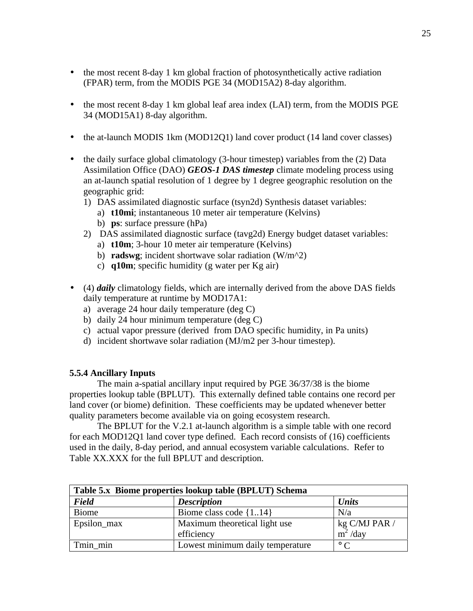- the most recent 8-day 1 km global fraction of photosynthetically active radiation (FPAR) term, from the MODIS PGE 34 (MOD15A2) 8-day algorithm.
- the most recent 8-day 1 km global leaf area index (LAI) term, from the MODIS PGE 34 (MOD15A1) 8-day algorithm.
- the at-launch MODIS 1km (MOD12Q1) land cover product (14 land cover classes)
- the daily surface global climatology (3-hour timestep) variables from the (2) Data Assimilation Office (DAO) *GEOS-1 DAS timestep* climate modeling process using an at-launch spatial resolution of 1 degree by 1 degree geographic resolution on the geographic grid:
	- 1) DAS assimilated diagnostic surface (tsyn2d) Synthesis dataset variables:
		- a) **t10mi**; instantaneous 10 meter air temperature (Kelvins)
		- b) **ps**: surface pressure (hPa)
	- 2) DAS assimilated diagnostic surface (tavg2d) Energy budget dataset variables:
		- a) **t10m**; 3-hour 10 meter air temperature (Kelvins)
		- b) **radswg**; incident shortwave solar radiation (W/m^2)
		- c) **q10m**; specific humidity (g water per Kg air)
- (4) *daily* climatology fields, which are internally derived from the above DAS fields daily temperature at runtime by MOD17A1:
	- a) average 24 hour daily temperature (deg C)
	- b) daily 24 hour minimum temperature (deg C)
	- c) actual vapor pressure (derived from DAO specific humidity, in Pa units)
	- d) incident shortwave solar radiation (MJ/m2 per 3-hour timestep).

#### **5.5.4 Ancillary Inputs**

The main a-spatial ancillary input required by PGE 36/37/38 is the biome properties lookup table (BPLUT). This externally defined table contains one record per land cover (or biome) definition. These coefficients may be updated whenever better quality parameters become available via on going ecosystem research.

The BPLUT for the V.2.1 at-launch algorithm is a simple table with one record for each MOD12Q1 land cover type defined. Each record consists of (16) coefficients used in the daily, 8-day period, and annual ecosystem variable calculations. Refer to Table XX.XXX for the full BPLUT and description.

| Table 5.x Biome properties lookup table (BPLUT) Schema |                                  |                |  |
|--------------------------------------------------------|----------------------------------|----------------|--|
| <b>Field</b>                                           | <b>Description</b>               | <b>Units</b>   |  |
| <b>Biome</b>                                           | Biome class code $\{114\}$       | N/a            |  |
| Epsilon_max                                            | Maximum theoretical light use    | kg C/MJ PAR /  |  |
|                                                        | efficiency                       | $m^2$ /day     |  |
| Tmin min                                               | Lowest minimum daily temperature | $\circ$ $\sim$ |  |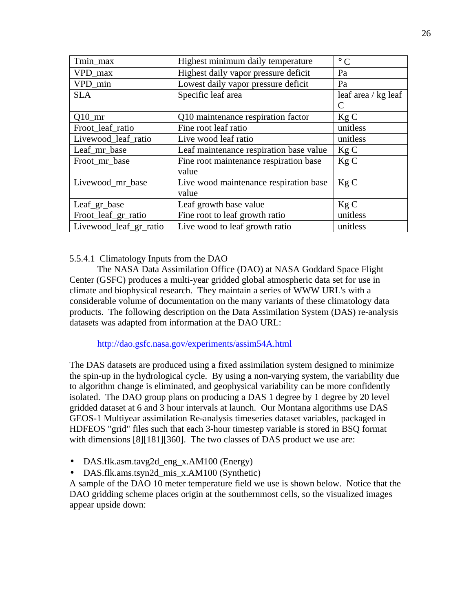| Tmin_max               | Highest minimum daily temperature       | $\circ$ C                   |
|------------------------|-----------------------------------------|-----------------------------|
| VPD_max                | Highest daily vapor pressure deficit    |                             |
| VPD_min                | Lowest daily vapor pressure deficit     | Pa                          |
| <b>SLA</b>             | Specific leaf area                      | leaf area $/\text{kg}$ leaf |
|                        |                                         |                             |
| $Q10$ _mr              | Q10 maintenance respiration factor      | KgC                         |
| Froot_leaf_ratio       | Fine root leaf ratio                    | unitless                    |
| Livewood_leaf_ratio    | Live wood leaf ratio                    | unitless                    |
| Leaf_mr_base           | Leaf maintenance respiration base value | KgC                         |
| Froot mr base          | Fine root maintenance respiration base  | Kg C                        |
|                        | value                                   |                             |
| Livewood_mr_base       | Live wood maintenance respiration base  | Kg C                        |
|                        | value                                   |                             |
| Leaf_gr_base           | Leaf growth base value                  | KgC                         |
| Froot_leaf_gr_ratio    | Fine root to leaf growth ratio          | unitless                    |
| Livewood_leaf_gr_ratio | Live wood to leaf growth ratio          | unitless                    |

## 5.5.4.1 Climatology Inputs from the DAO

The NASA Data Assimilation Office (DAO) at NASA Goddard Space Flight Center (GSFC) produces a multi-year gridded global atmospheric data set for use in climate and biophysical research. They maintain a series of WWW URL's with a considerable volume of documentation on the many variants of these climatology data products. The following description on the Data Assimilation System (DAS) re-analysis datasets was adapted from information at the DAO URL:

http://dao.gsfc.nasa.gov/experiments/assim54A.html

The DAS datasets are produced using a fixed assimilation system designed to minimize the spin-up in the hydrological cycle. By using a non-varying system, the variability due to algorithm change is eliminated, and geophysical variability can be more confidently isolated. The DAO group plans on producing a DAS 1 degree by 1 degree by 20 level gridded dataset at 6 and 3 hour intervals at launch. Our Montana algorithms use DAS GEOS-1 Multiyear assimilation Re-analysis timeseries dataset variables, packaged in HDFEOS "grid" files such that each 3-hour timestep variable is stored in BSQ format with dimensions [8][181][360]. The two classes of DAS product we use are:

- DAS.flk.asm.tavg2d\_eng\_x.AM100 (Energy)
- DAS.flk.ams.tsyn2d\_mis\_x.AM100 (Synthetic)

A sample of the DAO 10 meter temperature field we use is shown below. Notice that the DAO gridding scheme places origin at the southernmost cells, so the visualized images appear upside down: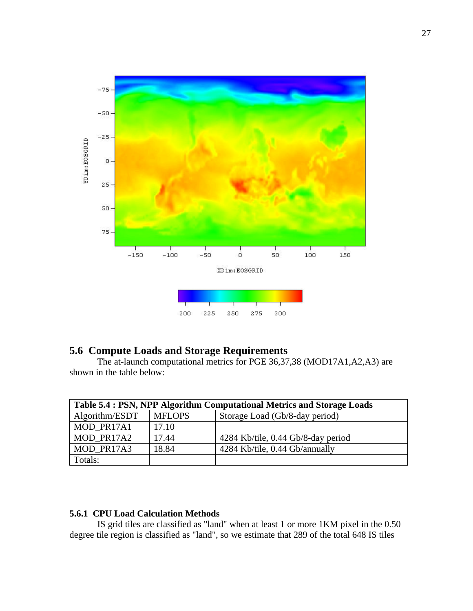

## **5.6 Compute Loads and Storage Requirements**

The at-launch computational metrics for PGE 36,37,38 (MOD17A1,A2,A3) are shown in the table below:

| Table 5.4 : PSN, NPP Algorithm Computational Metrics and Storage Loads |               |                                    |
|------------------------------------------------------------------------|---------------|------------------------------------|
| Algorithm/ESDT                                                         | <b>MFLOPS</b> | Storage Load (Gb/8-day period)     |
| MOD PR17A1                                                             | 17.10         |                                    |
| MOD PR17A2                                                             | 17.44         | 4284 Kb/tile, 0.44 Gb/8-day period |
| MOD PR17A3                                                             | 18.84         | 4284 Kb/tile, 0.44 Gb/annually     |
| Totals:                                                                |               |                                    |

#### **5.6.1 CPU Load Calculation Methods**

IS grid tiles are classified as "land" when at least 1 or more 1KM pixel in the 0.50 degree tile region is classified as "land", so we estimate that 289 of the total 648 IS tiles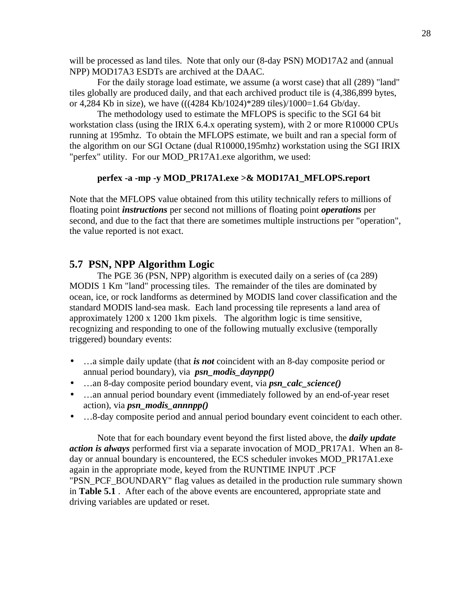will be processed as land tiles. Note that only our (8-day PSN) MOD17A2 and (annual NPP) MOD17A3 ESDTs are archived at the DAAC.

For the daily storage load estimate, we assume (a worst case) that all (289) "land" tiles globally are produced daily, and that each archived product tile is (4,386,899 bytes, or 4,284 Kb in size), we have (((4284 Kb/1024)\*289 tiles)/1000=1.64 Gb/day.

The methodology used to estimate the MFLOPS is specific to the SGI 64 bit workstation class (using the IRIX 6.4.x operating system), with 2 or more R10000 CPUs running at 195mhz. To obtain the MFLOPS estimate, we built and ran a special form of the algorithm on our SGI Octane (dual R10000,195mhz) workstation using the SGI IRIX "perfex" utility. For our MOD\_PR17A1.exe algorithm, we used:

### **perfex -a -mp -y MOD\_PR17A1.exe >& MOD17A1\_MFLOPS.report**

Note that the MFLOPS value obtained from this utility technically refers to millions of floating point *instructions* per second not millions of floating point *operations* per second, and due to the fact that there are sometimes multiple instructions per "operation", the value reported is not exact.

## **5.7 PSN, NPP Algorithm Logic**

The PGE 36 (PSN, NPP) algorithm is executed daily on a series of (ca 289) MODIS 1 Km "land" processing tiles. The remainder of the tiles are dominated by ocean, ice, or rock landforms as determined by MODIS land cover classification and the standard MODIS land-sea mask. Each land processing tile represents a land area of approximately 1200 x 1200 1km pixels. The algorithm logic is time sensitive, recognizing and responding to one of the following mutually exclusive (temporally triggered) boundary events:

- ...a simple daily update (that *is not* coincident with an 8-day composite period or annual period boundary), via *psn\_modis\_daynpp()*
- …an 8-day composite period boundary event, via *psn\_calc\_science()*
- …an annual period boundary event (immediately followed by an end-of-year reset action), via *psn\_modis\_annnpp()*
- …8-day composite period and annual period boundary event coincident to each other.

Note that for each boundary event beyond the first listed above, the *daily update action is always* performed first via a separate invocation of MOD\_PR17A1. When an 8 day or annual boundary is encountered, the ECS scheduler invokes MOD\_PR17A1.exe again in the appropriate mode, keyed from the RUNTIME INPUT .PCF "PSN\_PCF\_BOUNDARY" flag values as detailed in the production rule summary shown in **Table 5.1** . After each of the above events are encountered, appropriate state and driving variables are updated or reset.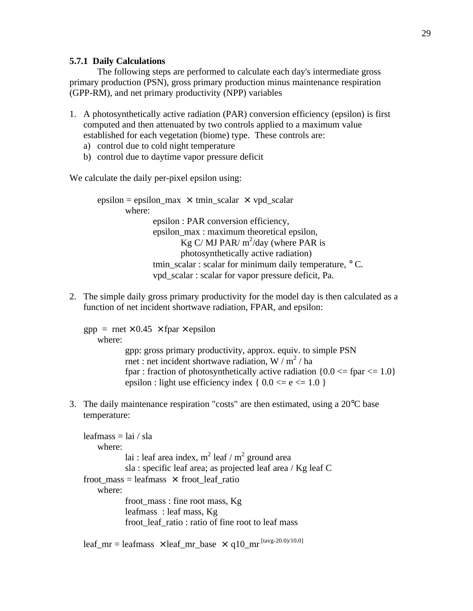## **5.7.1 Daily Calculations**

The following steps are performed to calculate each day's intermediate gross primary production (PSN), gross primary production minus maintenance respiration (GPP-RM), and net primary productivity (NPP) variables

- 1. A photosynthetically active radiation (PAR) conversion efficiency (epsilon) is first computed and then attenuated by two controls applied to a maximum value established for each vegetation (biome) type. These controls are:
	- a) control due to cold night temperature
	- b) control due to daytime vapor pressure deficit

We calculate the daily per-pixel epsilon using:

epsilon = epsilon\_max  $\times$  tmin\_scalar  $\times$  vpd\_scalar where: epsilon : PAR conversion efficiency, epsilon max : maximum theoretical epsilon, Kg C/ MJ PAR/ $m^2$ /day (where PAR is photosynthetically active radiation) tmin scalar : scalar for minimum daily temperature,  $\degree$  C. vpd\_scalar : scalar for vapor pressure deficit, Pa.

2. The simple daily gross primary productivity for the model day is then calculated as a function of net incident shortwave radiation, FPAR, and epsilon:

```
gpp = \text{met} \times 0.45 \times \text{fpar} \times \text{epsilon}where:
```
gpp: gross primary productivity, approx. equiv. to simple PSN rnet : net incident shortwave radiation, W /  $m^2$  / ha fpar : fraction of photosynthetically active radiation  $\{0.0 \leq f \text{par} \leq 1.0\}$ epsilon : light use efficiency index  $\{ 0.0 \le e \le 1.0 \}$ 

3. The daily maintenance respiration "costs" are then estimated, using a  $20^{\circ}$ C base temperature:

```
leafmass = lai / sla
    where:
             lai : leaf area index, m<sup>2</sup> leaf / m<sup>2</sup> ground area
            sla : specific leaf area; as projected leaf area / Kg leaf C
froot mass = leafmass \times froot leaf ratio
    where:
            froot_mass : fine root mass, Kg
            leafmass : leaf mass, Kg
            froot leaf ratio : ratio of fine root to leaf mass
```
leaf\_mr = leafmass  $\times$  leaf\_mr\_base  $\times$  q10\_mr<sup>[tavg-20.0)/10.0]</sup>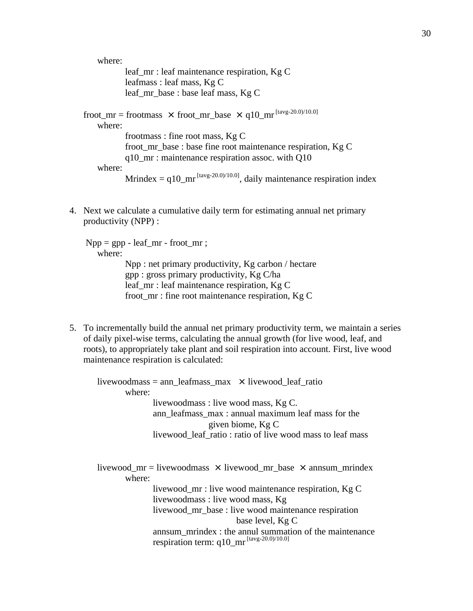where: leaf\_mr : leaf maintenance respiration, Kg C leafmass : leaf mass, Kg C leaf\_mr\_base : base leaf mass, Kg C froot\_mr = frootmass  $\times$  froot\_mr\_base  $\times$  q10\_mr<sup>[tavg-20.0)/10.0]</sup> where: frootmass : fine root mass, Kg C froot  $mr$  base : base fine root maintenance respiration, Kg C q10\_mr : maintenance respiration assoc. with Q10 where: Mrindex = q10  $\text{mr}$   $[t\text{avg-20.0})/10.0]$ , daily maintenance respiration index

4. Next we calculate a cumulative daily term for estimating annual net primary productivity (NPP) :

 $Npp = gpp - leaf_mr - froot_mr$ ; where: Npp : net primary productivity, Kg carbon / hectare gpp : gross primary productivity, Kg C/ha leaf mr : leaf maintenance respiration, Kg C froot\_mr : fine root maintenance respiration, Kg C

5. To incrementally build the annual net primary productivity term, we maintain a series of daily pixel-wise terms, calculating the annual growth (for live wood, leaf, and roots), to appropriately take plant and soil respiration into account. First, live wood maintenance respiration is calculated:

livewoodmass = ann\_leafmass\_max  $\times$  livewood\_leaf\_ratio where: livewoodmass : live wood mass, Kg C. ann\_leafmass\_max : annual maximum leaf mass for the given biome, Kg C livewood\_leaf\_ratio : ratio of live wood mass to leaf mass livewood mr = livewoodmass  $\times$  livewood mr base  $\times$  annsum mrindex where: livewood\_mr : live wood maintenance respiration, Kg C livewoodmass : live wood mass, Kg livewood\_mr\_base : live wood maintenance respiration base level, Kg C annsum\_mrindex : the annul summation of the maintenance respiration term: q10\_mr [tavg-20.0)/10.0]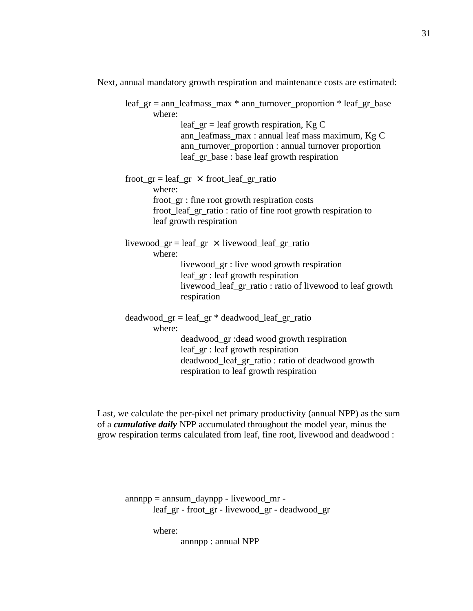Next, annual mandatory growth respiration and maintenance costs are estimated:

| $leaf\_gr = ann\_leafmass\_max * ann\_turnover\_proportion * leaf\_gr\_base$ |
|------------------------------------------------------------------------------|
| where:                                                                       |
| leaf_gr = leaf growth respiration, $KgC$                                     |
| ann_leafmass_max: annual leaf mass maximum, Kg C                             |
| ann_turnover_proportion : annual turnover proportion                         |
| leaf_gr_base : base leaf growth respiration                                  |
| $\text{froot\_gr} = \text{leaf\_gr} \times \text{froot\_leaf\_gr\_ratio}$    |
| where:                                                                       |
| froot_gr : fine root growth respiration costs                                |
| froot_leaf_gr_ratio : ratio of fine root growth respiration to               |
| leaf growth respiration                                                      |
| livewood_gr = leaf_gr $\times$ livewood_leaf_gr_ratio<br>where:              |
| livewood_gr : live wood growth respiration                                   |
| leaf_gr : leaf growth respiration                                            |
| livewood_leaf_gr_ratio : ratio of livewood to leaf growth                    |
| respiration                                                                  |
| $deadwood\_gr = leaf\_gr * deadwood\_leaf\_gr\_ratio$                        |
| where:                                                                       |
| deadwood_gr: dead wood growth respiration                                    |
| leaf_gr : leaf growth respiration                                            |
| deadwood_leaf_gr_ratio: ratio of deadwood growth                             |
| respiration to leaf growth respiration                                       |
|                                                                              |

Last, we calculate the per-pixel net primary productivity (annual NPP) as the sum of a *cumulative daily* NPP accumulated throughout the model year, minus the grow respiration terms calculated from leaf, fine root, livewood and deadwood :

```
annnpp = annsum_daynpp - livewood_mr -
      leaf_gr - froot_gr - livewood_gr - deadwood_gr
```
where:

annnpp : annual NPP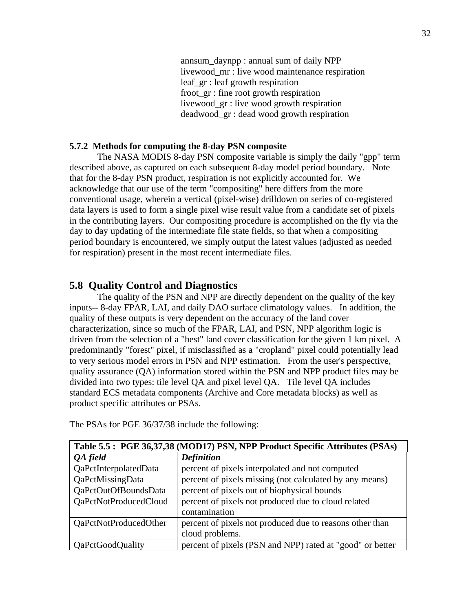annsum\_daynpp : annual sum of daily NPP livewood\_mr : live wood maintenance respiration leaf\_gr : leaf growth respiration froot\_gr : fine root growth respiration livewood\_gr : live wood growth respiration deadwood\_gr : dead wood growth respiration

### **5.7.2 Methods for computing the 8-day PSN composite**

The NASA MODIS 8-day PSN composite variable is simply the daily "gpp" term described above, as captured on each subsequent 8-day model period boundary. Note that for the 8-day PSN product, respiration is not explicitly accounted for. We acknowledge that our use of the term "compositing" here differs from the more conventional usage, wherein a vertical (pixel-wise) drilldown on series of co-registered data layers is used to form a single pixel wise result value from a candidate set of pixels in the contributing layers. Our compositing procedure is accomplished on the fly via the day to day updating of the intermediate file state fields, so that when a compositing period boundary is encountered, we simply output the latest values (adjusted as needed for respiration) present in the most recent intermediate files.

## **5.8 Quality Control and Diagnostics**

The quality of the PSN and NPP are directly dependent on the quality of the key inputs-- 8-day FPAR, LAI, and daily DAO surface climatology values. In addition, the quality of these outputs is very dependent on the accuracy of the land cover characterization, since so much of the FPAR, LAI, and PSN, NPP algorithm logic is driven from the selection of a "best" land cover classification for the given 1 km pixel. A predominantly "forest" pixel, if misclassified as a "cropland" pixel could potentially lead to very serious model errors in PSN and NPP estimation. From the user's perspective, quality assurance (QA) information stored within the PSN and NPP product files may be divided into two types: tile level QA and pixel level QA. Tile level QA includes standard ECS metadata components (Archive and Core metadata blocks) as well as product specific attributes or PSAs.

| Table 5.5: PGE 36,37,38 (MOD17) PSN, NPP Product Specific Attributes (PSAs) |                                                           |  |  |
|-----------------------------------------------------------------------------|-----------------------------------------------------------|--|--|
| QA field                                                                    | <b>Definition</b>                                         |  |  |
| QaPctInterpolatedData                                                       | percent of pixels interpolated and not computed           |  |  |
| QaPctMissingData                                                            | percent of pixels missing (not calculated by any means)   |  |  |
| QaPctOutOfBoundsData                                                        | percent of pixels out of biophysical bounds               |  |  |
| QaPctNotProducedCloud                                                       | percent of pixels not produced due to cloud related       |  |  |
|                                                                             | contamination                                             |  |  |
| QaPctNotProducedOther                                                       | percent of pixels not produced due to reasons other than  |  |  |
|                                                                             | cloud problems.                                           |  |  |
| <b>QaPctGoodQuality</b>                                                     | percent of pixels (PSN and NPP) rated at "good" or better |  |  |

The PSAs for PGE 36/37/38 include the following: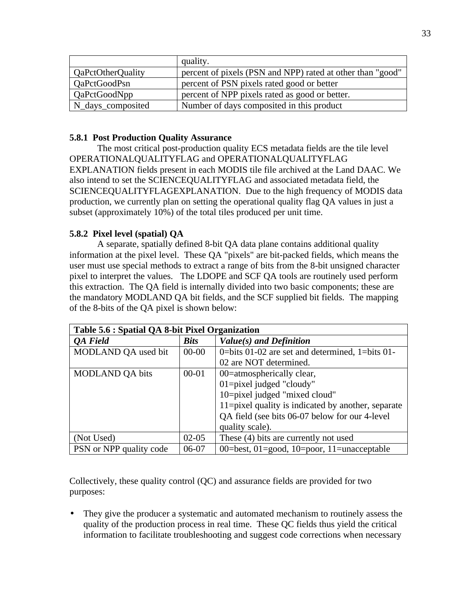|                     | quality.                                                   |
|---------------------|------------------------------------------------------------|
| QaPctOtherQuality   | percent of pixels (PSN and NPP) rated at other than "good" |
| <b>QaPctGoodPsn</b> | percent of PSN pixels rated good or better                 |
| <b>QaPctGoodNpp</b> | percent of NPP pixels rated as good or better.             |
| N_days_composited   | Number of days composited in this product                  |

## **5.8.1 Post Production Quality Assurance**

The most critical post-production quality ECS metadata fields are the tile level OPERATIONALQUALITYFLAG and OPERATIONALQUALITYFLAG EXPLANATION fields present in each MODIS tile file archived at the Land DAAC. We also intend to set the SCIENCEQUALITYFLAG and associated metadata field, the SCIENCEQUALITYFLAGEXPLANATION. Due to the high frequency of MODIS data production, we currently plan on setting the operational quality flag QA values in just a subset (approximately 10%) of the total tiles produced per unit time.

## **5.8.2 Pixel level (spatial) QA**

A separate, spatially defined 8-bit QA data plane contains additional quality information at the pixel level. These QA "pixels" are bit-packed fields, which means the user must use special methods to extract a range of bits from the 8-bit unsigned character pixel to interpret the values. The LDOPE and SCF QA tools are routinely used perform this extraction. The QA field is internally divided into two basic components; these are the mandatory MODLAND QA bit fields, and the SCF supplied bit fields. The mapping of the 8-bits of the QA pixel is shown below:

| Table 5.6 : Spatial QA 8-bit Pixel Organization |             |                                                    |  |
|-------------------------------------------------|-------------|----------------------------------------------------|--|
| QA Field                                        | <b>Bits</b> | Value(s) and Definition                            |  |
| MODLAND QA used bit                             | $00 - 00$   | 0=bits $01-02$ are set and determined, 1=bits 01-  |  |
|                                                 |             | 02 are NOT determined.                             |  |
| <b>MODLAND QA bits</b>                          | $00 - 01$   | 00=atmospherically clear,                          |  |
|                                                 |             | 01=pixel judged "cloudy"                           |  |
|                                                 |             | 10=pixel judged "mixed cloud"                      |  |
|                                                 |             | 11=pixel quality is indicated by another, separate |  |
|                                                 |             | QA field (see bits 06-07 below for our 4-level     |  |
|                                                 |             | quality scale).                                    |  |
| (Not Used)                                      | $02 - 05$   | These (4) bits are currently not used              |  |
| PSN or NPP quality code                         | $06-07$     | 00=best, 01=good, 10=poor, 11=unacceptable         |  |

Collectively, these quality control (QC) and assurance fields are provided for two purposes:

• They give the producer a systematic and automated mechanism to routinely assess the quality of the production process in real time. These QC fields thus yield the critical information to facilitate troubleshooting and suggest code corrections when necessary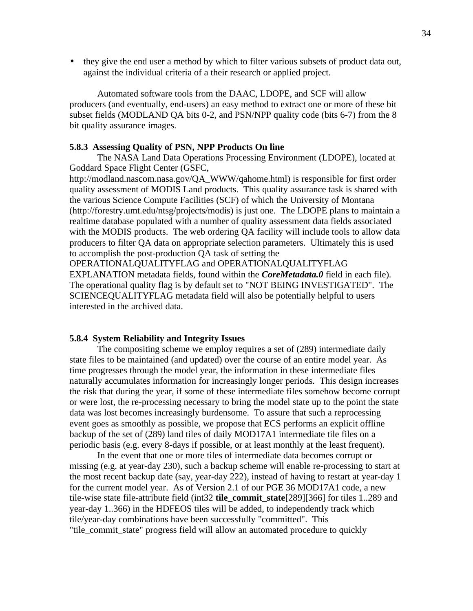• they give the end user a method by which to filter various subsets of product data out, against the individual criteria of a their research or applied project.

Automated software tools from the DAAC, LDOPE, and SCF will allow producers (and eventually, end-users) an easy method to extract one or more of these bit subset fields (MODLAND QA bits 0-2, and PSN/NPP quality code (bits 6-7) from the 8 bit quality assurance images.

#### **5.8.3 Assessing Quality of PSN, NPP Products On line**

The NASA Land Data Operations Processing Environment (LDOPE), located at Goddard Space Flight Center (GSFC,

http://modland.nascom.nasa.gov/QA\_WWW/qahome.html) is responsible for first order quality assessment of MODIS Land products. This quality assurance task is shared with the various Science Compute Facilities (SCF) of which the University of Montana (http://forestry.umt.edu/ntsg/projects/modis) is just one. The LDOPE plans to maintain a realtime database populated with a number of quality assessment data fields associated with the MODIS products. The web ordering QA facility will include tools to allow data producers to filter QA data on appropriate selection parameters. Ultimately this is used to accomplish the post-production QA task of setting the

OPERATIONALQUALITYFLAG and OPERATIONALQUALITYFLAG EXPLANATION metadata fields, found within the *CoreMetadata.0* field in each file). The operational quality flag is by default set to "NOT BEING INVESTIGATED". The SCIENCEQUALITYFLAG metadata field will also be potentially helpful to users interested in the archived data.

#### **5.8.4 System Reliability and Integrity Issues**

The compositing scheme we employ requires a set of (289) intermediate daily state files to be maintained (and updated) over the course of an entire model year. As time progresses through the model year, the information in these intermediate files naturally accumulates information for increasingly longer periods. This design increases the risk that during the year, if some of these intermediate files somehow become corrupt or were lost, the re-processing necessary to bring the model state up to the point the state data was lost becomes increasingly burdensome. To assure that such a reprocessing event goes as smoothly as possible, we propose that ECS performs an explicit offline backup of the set of (289) land tiles of daily MOD17A1 intermediate tile files on a periodic basis (e.g. every 8-days if possible, or at least monthly at the least frequent).

In the event that one or more tiles of intermediate data becomes corrupt or missing (e.g. at year-day 230), such a backup scheme will enable re-processing to start at the most recent backup date (say, year-day 222), instead of having to restart at year-day 1 for the current model year. As of Version 2.1 of our PGE 36 MOD17A1 code, a new tile-wise state file-attribute field (int32 **tile\_commit\_state**[289][366] for tiles 1..289 and year-day 1..366) in the HDFEOS tiles will be added, to independently track which tile/year-day combinations have been successfully "committed". This "tile\_commit\_state" progress field will allow an automated procedure to quickly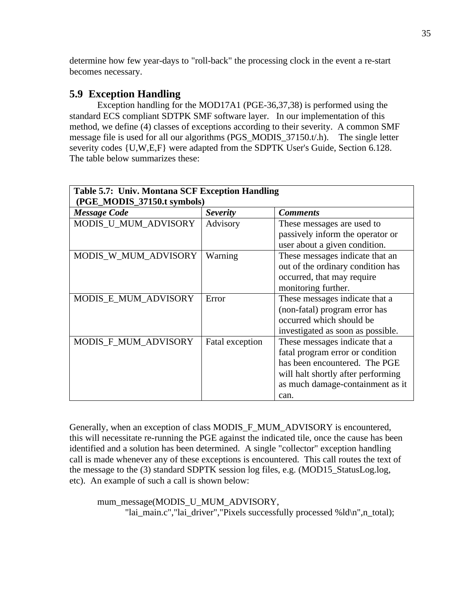determine how few year-days to "roll-back" the processing clock in the event a re-start becomes necessary.

## **5.9 Exception Handling**

Exception handling for the MOD17A1 (PGE-36,37,38) is performed using the standard ECS compliant SDTPK SMF software layer. In our implementation of this method, we define (4) classes of exceptions according to their severity. A common SMF message file is used for all our algorithms (PGS\_MODIS\_37150.t/.h). The single letter severity codes  $\{U, W, E, F\}$  were adapted from the SDPTK User's Guide, Section 6.128. The table below summarizes these:

| Table 5.7: Univ. Montana SCF Exception Handling<br>(PGE_MODIS_37150.t symbols) |                 |                                                                                                                                                                                       |  |
|--------------------------------------------------------------------------------|-----------------|---------------------------------------------------------------------------------------------------------------------------------------------------------------------------------------|--|
| <b>Message Code</b>                                                            | <b>Severity</b> | <b>Comments</b>                                                                                                                                                                       |  |
| MODIS_U_MUM_ADVISORY                                                           | Advisory        | These messages are used to<br>passively inform the operator or<br>user about a given condition.                                                                                       |  |
| MODIS_W_MUM_ADVISORY                                                           | Warning         | These messages indicate that an<br>out of the ordinary condition has<br>occurred, that may require<br>monitoring further.                                                             |  |
| MODIS_E_MUM_ADVISORY                                                           | Error           | These messages indicate that a<br>(non-fatal) program error has<br>occurred which should be<br>investigated as soon as possible.                                                      |  |
| MODIS F MUM ADVISORY                                                           | Fatal exception | These messages indicate that a<br>fatal program error or condition<br>has been encountered. The PGE<br>will halt shortly after performing<br>as much damage-containment as it<br>can. |  |

Generally, when an exception of class MODIS\_F\_MUM\_ADVISORY is encountered, this will necessitate re-running the PGE against the indicated tile, once the cause has been identified and a solution has been determined. A single "collector" exception handling call is made whenever any of these exceptions is encountered. This call routes the text of the message to the (3) standard SDPTK session log files, e.g. (MOD15\_StatusLog.log, etc). An example of such a call is shown below:

mum\_message(MODIS\_U\_MUM\_ADVISORY,

"lai\_main.c","lai\_driver","Pixels successfully processed %ld\n",n\_total);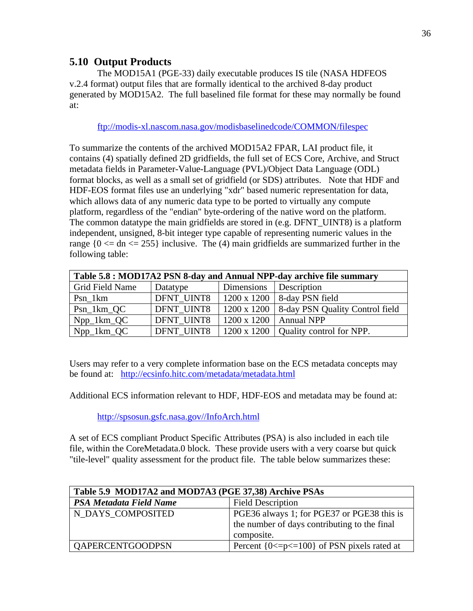## **5.10 Output Products**

The MOD15A1 (PGE-33) daily executable produces IS tile (NASA HDFEOS v.2.4 format) output files that are formally identical to the archived 8-day product generated by MOD15A2. The full baselined file format for these may normally be found at:

## ftp://modis-xl.nascom.nasa.gov/modisbaselinedcode/COMMON/filespec

To summarize the contents of the archived MOD15A2 FPAR, LAI product file, it contains (4) spatially defined 2D gridfields, the full set of ECS Core, Archive, and Struct metadata fields in Parameter-Value-Language (PVL)/Object Data Language (ODL) format blocks, as well as a small set of gridfield (or SDS) attributes. Note that HDF and HDF-EOS format files use an underlying "xdr" based numeric representation for data, which allows data of any numeric data type to be ported to virtually any compute platform, regardless of the "endian" byte-ordering of the native word on the platform. The common datatype the main gridfields are stored in (e.g. DFNT\_UINT8) is a platform independent, unsigned, 8-bit integer type capable of representing numeric values in the range  ${0 \leq dn \leq 255}$  inclusive. The (4) main gridfields are summarized further in the following table:

| Table 5.8 : MOD17A2 PSN 8-day and Annual NPP-day archive file summary |                                            |                                 |                                               |  |
|-----------------------------------------------------------------------|--------------------------------------------|---------------------------------|-----------------------------------------------|--|
| Grid Field Name                                                       | Datatype                                   | Dimensions Description          |                                               |  |
| $Psn_l/km$                                                            | DFNT_UINT8   1200 x 1200   8-day PSN field |                                 |                                               |  |
| $Psn_l/km_QC$                                                         | DFNT UINT8                                 |                                 | 1200 x 1200   8-day PSN Quality Control field |  |
| $Npp_lkm_QC$                                                          | DFNT UINT8                                 | $1200 \times 1200$   Annual NPP |                                               |  |
| $Npp_lkm_QC$                                                          | DFNT UINT8                                 |                                 | 1200 x 1200   Quality control for NPP.        |  |

Users may refer to a very complete information base on the ECS metadata concepts may be found at: http://ecsinfo.hitc.com/metadata/metadata.html

Additional ECS information relevant to HDF, HDF-EOS and metadata may be found at:

http://spsosun.gsfc.nasa.gov//InfoArch.html

A set of ECS compliant Product Specific Attributes (PSA) is also included in each tile file, within the CoreMetadata.0 block. These provide users with a very coarse but quick "tile-level" quality assessment for the product file. The table below summarizes these:

| Table 5.9 MOD17A2 and MOD7A3 (PGE 37,38) Archive PSAs |                                                                                                          |  |
|-------------------------------------------------------|----------------------------------------------------------------------------------------------------------|--|
| <b>PSA Metadata Field Name</b>                        | <b>Field Description</b>                                                                                 |  |
| N DAYS COMPOSITED                                     | PGE36 always 1; for PGE37 or PGE38 this is<br>the number of days contributing to the final<br>composite. |  |
| <b>OAPERCENTGOODPSN</b>                               | Percent ${0 \le p \le 100}$ of PSN pixels rated at                                                       |  |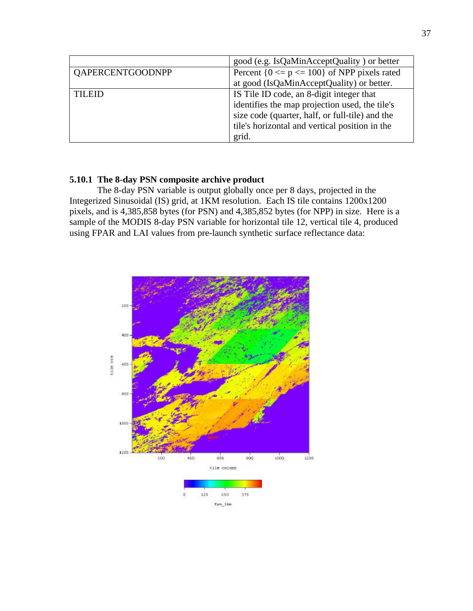|                  | good (e.g. IsQaMinAcceptQuality) or better      |
|------------------|-------------------------------------------------|
| QAPERCENTGOODNPP | Percent $0 \le p \le 100$ of NPP pixels rated   |
|                  | at good (IsQaMinAcceptQuality) or better.       |
| <b>TILEID</b>    | IS Tile ID code, an 8-digit integer that        |
|                  | identifies the map projection used, the tile's  |
|                  | size code (quarter, half, or full-tile) and the |
|                  | tile's horizontal and vertical position in the  |
|                  | grid.                                           |

## **5.10.1 The 8-day PSN composite archive product**

The 8-day PSN variable is output globally once per 8 days, projected in the Integerized Sinusoidal (IS) grid, at 1KM resolution. Each IS tile contains 1200x1200 pixels, and is 4,385,858 bytes (for PSN) and 4,385,852 bytes (for NPP) in size. Here is a sample of the MODIS 8-day PSN variable for horizontal tile 12, vertical tile 4, produced using FPAR and LAI values from pre-launch synthetic surface reflectance data:

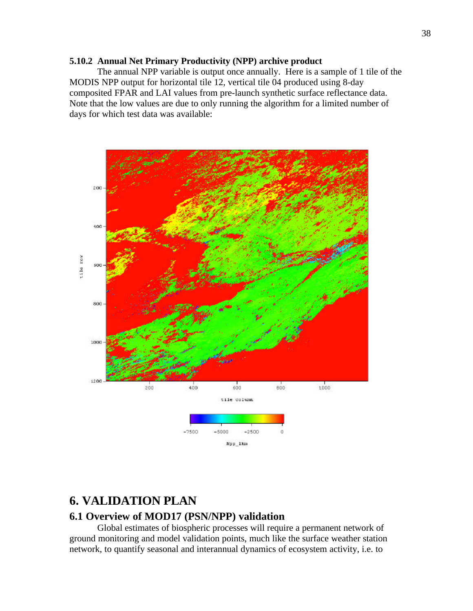#### **5.10.2 Annual Net Primary Productivity (NPP) archive product**

The annual NPP variable is output once annually. Here is a sample of 1 tile of the MODIS NPP output for horizontal tile 12, vertical tile 04 produced using 8-day composited FPAR and LAI values from pre-launch synthetic surface reflectance data. Note that the low values are due to only running the algorithm for a limited number of days for which test data was available:



# **6. VALIDATION PLAN**

## **6.1 Overview of MOD17 (PSN/NPP) validation**

Global estimates of biospheric processes will require a permanent network of ground monitoring and model validation points, much like the surface weather station network, to quantify seasonal and interannual dynamics of ecosystem activity, i.e. to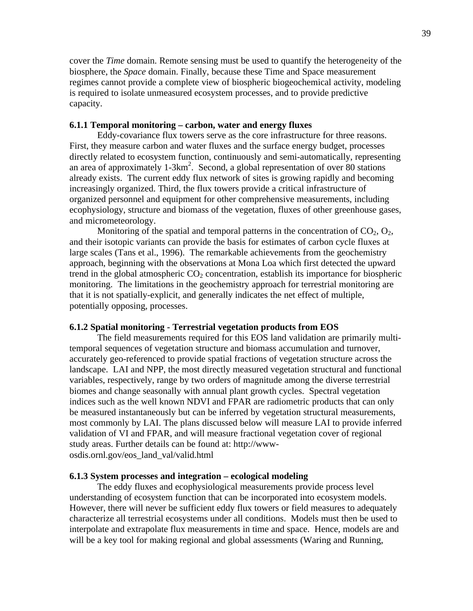cover the *Time* domain. Remote sensing must be used to quantify the heterogeneity of the biosphere, the *Space* domain. Finally, because these Time and Space measurement regimes cannot provide a complete view of biospheric biogeochemical activity, modeling is required to isolate unmeasured ecosystem processes, and to provide predictive capacity.

#### **6.1.1 Temporal monitoring – carbon, water and energy fluxes**

Eddy-covariance flux towers serve as the core infrastructure for three reasons. First, they measure carbon and water fluxes and the surface energy budget, processes directly related to ecosystem function, continuously and semi-automatically, representing an area of approximately  $1\text{-}3km^2$ . Second, a global representation of over 80 stations already exists. The current eddy flux network of sites is growing rapidly and becoming increasingly organized. Third, the flux towers provide a critical infrastructure of organized personnel and equipment for other comprehensive measurements, including ecophysiology, structure and biomass of the vegetation, fluxes of other greenhouse gases, and micrometeorology.

Monitoring of the spatial and temporal patterns in the concentration of  $CO<sub>2</sub>, O<sub>2</sub>$ , and their isotopic variants can provide the basis for estimates of carbon cycle fluxes at large scales (Tans et al., 1996). The remarkable achievements from the geochemistry approach, beginning with the observations at Mona Loa which first detected the upward trend in the global atmospheric  $CO<sub>2</sub>$  concentration, establish its importance for biospheric monitoring. The limitations in the geochemistry approach for terrestrial monitoring are that it is not spatially-explicit, and generally indicates the net effect of multiple, potentially opposing, processes.

### **6.1.2 Spatial monitoring - Terrestrial vegetation products from EOS**

The field measurements required for this EOS land validation are primarily multitemporal sequences of vegetation structure and biomass accumulation and turnover, accurately geo-referenced to provide spatial fractions of vegetation structure across the landscape. LAI and NPP, the most directly measured vegetation structural and functional variables, respectively, range by two orders of magnitude among the diverse terrestrial biomes and change seasonally with annual plant growth cycles. Spectral vegetation indices such as the well known NDVI and FPAR are radiometric products that can only be measured instantaneously but can be inferred by vegetation structural measurements, most commonly by LAI. The plans discussed below will measure LAI to provide inferred validation of VI and FPAR, and will measure fractional vegetation cover of regional study areas. Further details can be found at: http://wwwosdis.ornl.gov/eos\_land\_val/valid.html

#### **6.1.3 System processes and integration – ecological modeling**

The eddy fluxes and ecophysiological measurements provide process level understanding of ecosystem function that can be incorporated into ecosystem models. However, there will never be sufficient eddy flux towers or field measures to adequately characterize all terrestrial ecosystems under all conditions. Models must then be used to interpolate and extrapolate flux measurements in time and space. Hence, models are and will be a key tool for making regional and global assessments (Waring and Running,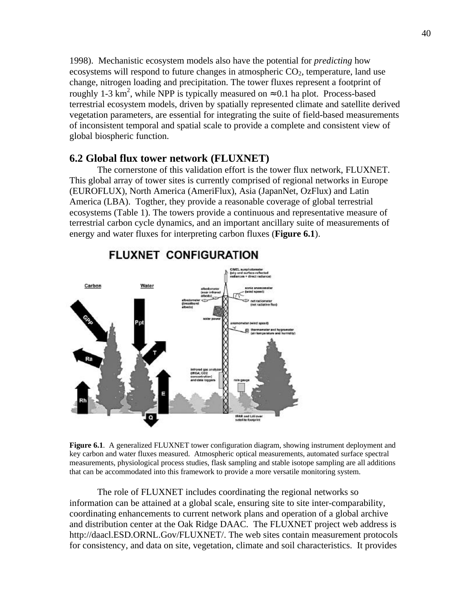1998). Mechanistic ecosystem models also have the potential for *predicting* how ecosystems will respond to future changes in atmospheric  $CO<sub>2</sub>$ , temperature, land use change, nitrogen loading and precipitation. The tower fluxes represent a footprint of roughly 1-3 km<sup>2</sup>, while NPP is typically measured on  $\approx 0.1$  ha plot. Process-based terrestrial ecosystem models, driven by spatially represented climate and satellite derived vegetation parameters, are essential for integrating the suite of field-based measurements of inconsistent temporal and spatial scale to provide a complete and consistent view of global biospheric function.

## **6.2 Global flux tower network (FLUXNET)**

The cornerstone of this validation effort is the tower flux network, FLUXNET. This global array of tower sites is currently comprised of regional networks in Europe (EUROFLUX), North America (AmeriFlux), Asia (JapanNet, OzFlux) and Latin America (LBA). Togther, they provide a reasonable coverage of global terrestrial ecosystems (Table 1). The towers provide a continuous and representative measure of terrestrial carbon cycle dynamics, and an important ancillary suite of measurements of energy and water fluxes for interpreting carbon fluxes (**Figure 6.1**).



## **FLUXNET CONFIGURATION**

**Figure 6.1**. A generalized FLUXNET tower configuration diagram, showing instrument deployment and key carbon and water fluxes measured. Atmospheric optical measurements, automated surface spectral measurements, physiological process studies, flask sampling and stable isotope sampling are all additions that can be accommodated into this framework to provide a more versatile monitoring system.

The role of FLUXNET includes coordinating the regional networks so information can be attained at a global scale, ensuring site to site inter-comparability, coordinating enhancements to current network plans and operation of a global archive and distribution center at the Oak Ridge DAAC. The FLUXNET project web address is http://daacl.ESD.ORNL.Gov/FLUXNET/. The web sites contain measurement protocols for consistency, and data on site, vegetation, climate and soil characteristics. It provides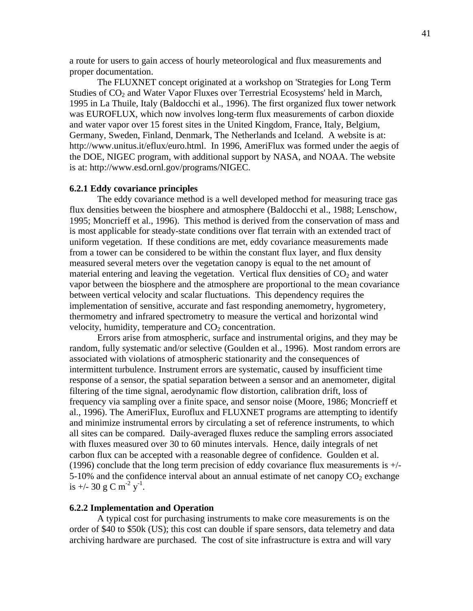a route for users to gain access of hourly meteorological and flux measurements and proper documentation.

The FLUXNET concept originated at a workshop on 'Strategies for Long Term Studies of CO2 and Water Vapor Fluxes over Terrestrial Ecosystems' held in March, 1995 in La Thuile, Italy (Baldocchi et al., 1996). The first organized flux tower network was EUROFLUX, which now involves long-term flux measurements of carbon dioxide and water vapor over 15 forest sites in the United Kingdom, France, Italy, Belgium, Germany, Sweden, Finland, Denmark, The Netherlands and Iceland. A website is at: http://www.unitus.it/eflux/euro.html. In 1996, AmeriFlux was formed under the aegis of the DOE, NIGEC program, with additional support by NASA, and NOAA. The website is at: http://www.esd.ornl.gov/programs/NIGEC.

#### **6.2.1 Eddy covariance principles**

The eddy covariance method is a well developed method for measuring trace gas flux densities between the biosphere and atmosphere (Baldocchi et al., 1988; Lenschow, 1995; Moncrieff et al., 1996). This method is derived from the conservation of mass and is most applicable for steady-state conditions over flat terrain with an extended tract of uniform vegetation. If these conditions are met, eddy covariance measurements made from a tower can be considered to be within the constant flux layer, and flux density measured several meters over the vegetation canopy is equal to the net amount of material entering and leaving the vegetation. Vertical flux densities of  $CO<sub>2</sub>$  and water vapor between the biosphere and the atmosphere are proportional to the mean covariance between vertical velocity and scalar fluctuations. This dependency requires the implementation of sensitive, accurate and fast responding anemometry, hygrometery, thermometry and infrared spectrometry to measure the vertical and horizontal wind velocity, humidity, temperature and  $CO<sub>2</sub>$  concentration.

Errors arise from atmospheric, surface and instrumental origins, and they may be random, fully systematic and/or selective (Goulden et al., 1996). Most random errors are associated with violations of atmospheric stationarity and the consequences of intermittent turbulence. Instrument errors are systematic, caused by insufficient time response of a sensor, the spatial separation between a sensor and an anemometer, digital filtering of the time signal, aerodynamic flow distortion, calibration drift, loss of frequency via sampling over a finite space, and sensor noise (Moore, 1986; Moncrieff et al., 1996). The AmeriFlux, Euroflux and FLUXNET programs are attempting to identify and minimize instrumental errors by circulating a set of reference instruments, to which all sites can be compared. Daily-averaged fluxes reduce the sampling errors associated with fluxes measured over 30 to 60 minutes intervals. Hence, daily integrals of net carbon flux can be accepted with a reasonable degree of confidence. Goulden et al. (1996) conclude that the long term precision of eddy covariance flux measurements is  $+/-$ 5-10% and the confidence interval about an annual estimate of net canopy  $CO<sub>2</sub>$  exchange is +/- 30 g C m<sup>-2</sup> y<sup>-1</sup>.

#### **6.2.2 Implementation and Operation**

A typical cost for purchasing instruments to make core measurements is on the order of \$40 to \$50k (US); this cost can double if spare sensors, data telemetry and data archiving hardware are purchased. The cost of site infrastructure is extra and will vary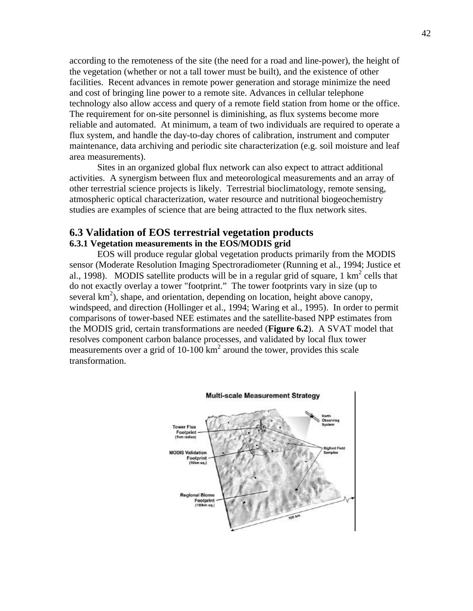according to the remoteness of the site (the need for a road and line-power), the height of the vegetation (whether or not a tall tower must be built), and the existence of other facilities. Recent advances in remote power generation and storage minimize the need and cost of bringing line power to a remote site. Advances in cellular telephone technology also allow access and query of a remote field station from home or the office. The requirement for on-site personnel is diminishing, as flux systems become more reliable and automated. At minimum, a team of two individuals are required to operate a flux system, and handle the day-to-day chores of calibration, instrument and computer maintenance, data archiving and periodic site characterization (e.g. soil moisture and leaf area measurements).

Sites in an organized global flux network can also expect to attract additional activities. A synergism between flux and meteorological measurements and an array of other terrestrial science projects is likely. Terrestrial bioclimatology, remote sensing, atmospheric optical characterization, water resource and nutritional biogeochemistry studies are examples of science that are being attracted to the flux network sites.

### **6.3 Validation of EOS terrestrial vegetation products 6.3.1 Vegetation measurements in the EOS/MODIS grid**

EOS will produce regular global vegetation products primarily from the MODIS sensor (Moderate Resolution Imaging Spectroradiometer (Running et al., 1994; Justice et al., 1998). MODIS satellite products will be in a regular grid of square, 1  $km^2$  cells that do not exactly overlay a tower "footprint." The tower footprints vary in size (up to several  $km<sup>2</sup>$ ), shape, and orientation, depending on location, height above canopy, windspeed, and direction (Hollinger et al., 1994; Waring et al., 1995). In order to permit comparisons of tower-based NEE estimates and the satellite-based NPP estimates from the MODIS grid, certain transformations are needed (**Figure 6.2**). A SVAT model that resolves component carbon balance processes, and validated by local flux tower measurements over a grid of  $10-100 \text{ km}^2$  around the tower, provides this scale transformation.

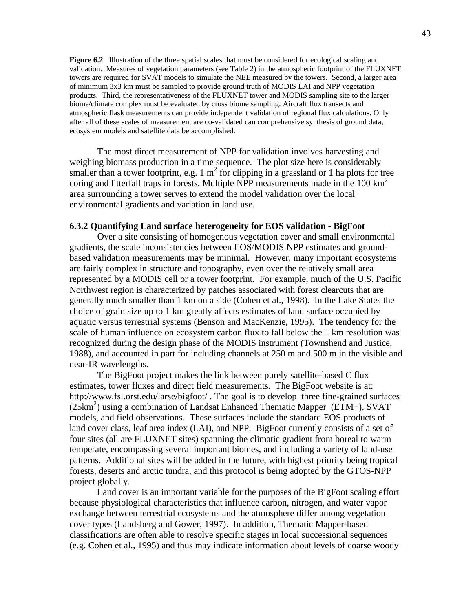**Figure 6.2** Illustration of the three spatial scales that must be considered for ecological scaling and validation. Measures of vegetation parameters (see Table 2) in the atmospheric footprint of the FLUXNET towers are required for SVAT models to simulate the NEE measured by the towers. Second, a larger area of minimum 3x3 km must be sampled to provide ground truth of MODIS LAI and NPP vegetation products. Third, the representativeness of the FLUXNET tower and MODIS sampling site to the larger biome/climate complex must be evaluated by cross biome sampling. Aircraft flux transects and atmospheric flask measurements can provide independent validation of regional flux calculations. Only after all of these scales of measurement are co-validated can comprehensive synthesis of ground data, ecosystem models and satellite data be accomplished.

The most direct measurement of NPP for validation involves harvesting and weighing biomass production in a time sequence. The plot size here is considerably smaller than a tower footprint, e.g.  $1 \text{ m}^2$  for clipping in a grassland or 1 ha plots for tree coring and litterfall traps in forests. Multiple NPP measurements made in the  $100 \text{ km}^2$ area surrounding a tower serves to extend the model validation over the local environmental gradients and variation in land use.

#### **6.3.2 Quantifying Land surface heterogeneity for EOS validation - BigFoot**

Over a site consisting of homogenous vegetation cover and small environmental gradients, the scale inconsistencies between EOS/MODIS NPP estimates and groundbased validation measurements may be minimal. However, many important ecosystems are fairly complex in structure and topography, even over the relatively small area represented by a MODIS cell or a tower footprint. For example, much of the U.S. Pacific Northwest region is characterized by patches associated with forest clearcuts that are generally much smaller than 1 km on a side (Cohen et al., 1998). In the Lake States the choice of grain size up to 1 km greatly affects estimates of land surface occupied by aquatic versus terrestrial systems (Benson and MacKenzie, 1995). The tendency for the scale of human influence on ecosystem carbon flux to fall below the 1 km resolution was recognized during the design phase of the MODIS instrument (Townshend and Justice, 1988), and accounted in part for including channels at 250 m and 500 m in the visible and near-IR wavelengths.

The BigFoot project makes the link between purely satellite-based C flux estimates, tower fluxes and direct field measurements. The BigFoot website is at: http://www.fsl.orst.edu/larse/bigfoot/ . The goal is to develop three fine-grained surfaces (25km<sup>2</sup>) using a combination of Landsat Enhanced Thematic Mapper (ETM+), SVAT models, and field observations. These surfaces include the standard EOS products of land cover class, leaf area index (LAI), and NPP. BigFoot currently consists of a set of four sites (all are FLUXNET sites) spanning the climatic gradient from boreal to warm temperate, encompassing several important biomes, and including a variety of land-use patterns. Additional sites will be added in the future, with highest priority being tropical forests, deserts and arctic tundra, and this protocol is being adopted by the GTOS-NPP project globally.

Land cover is an important variable for the purposes of the BigFoot scaling effort because physiological characteristics that influence carbon, nitrogen, and water vapor exchange between terrestrial ecosystems and the atmosphere differ among vegetation cover types (Landsberg and Gower, 1997). In addition, Thematic Mapper-based classifications are often able to resolve specific stages in local successional sequences (e.g. Cohen et al., 1995) and thus may indicate information about levels of coarse woody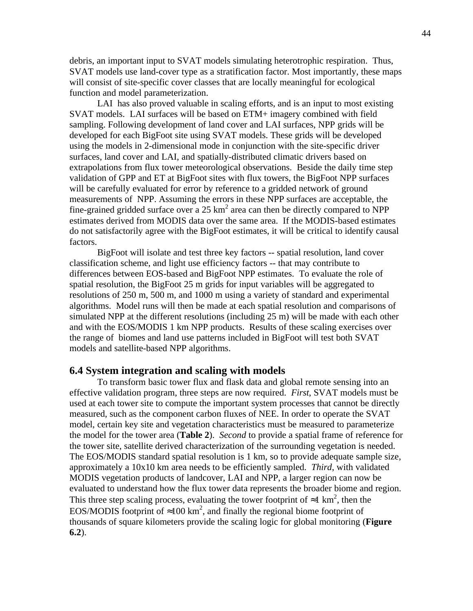debris, an important input to SVAT models simulating heterotrophic respiration. Thus, SVAT models use land-cover type as a stratification factor. Most importantly, these maps will consist of site-specific cover classes that are locally meaningful for ecological function and model parameterization.

LAI has also proved valuable in scaling efforts, and is an input to most existing SVAT models. LAI surfaces will be based on ETM+ imagery combined with field sampling. Following development of land cover and LAI surfaces, NPP grids will be developed for each BigFoot site using SVAT models. These grids will be developed using the models in 2-dimensional mode in conjunction with the site-specific driver surfaces, land cover and LAI, and spatially-distributed climatic drivers based on extrapolations from flux tower meteorological observations. Beside the daily time step validation of GPP and ET at BigFoot sites with flux towers, the BigFoot NPP surfaces will be carefully evaluated for error by reference to a gridded network of ground measurements of NPP. Assuming the errors in these NPP surfaces are acceptable, the fine-grained gridded surface over a 25  $km^2$  area can then be directly compared to NPP estimates derived from MODIS data over the same area. If the MODIS-based estimates do not satisfactorily agree with the BigFoot estimates, it will be critical to identify causal factors.

BigFoot will isolate and test three key factors -- spatial resolution, land cover classification scheme, and light use efficiency factors -- that may contribute to differences between EOS-based and BigFoot NPP estimates. To evaluate the role of spatial resolution, the BigFoot 25 m grids for input variables will be aggregated to resolutions of 250 m, 500 m, and 1000 m using a variety of standard and experimental algorithms. Model runs will then be made at each spatial resolution and comparisons of simulated NPP at the different resolutions (including 25 m) will be made with each other and with the EOS/MODIS 1 km NPP products. Results of these scaling exercises over the range of biomes and land use patterns included in BigFoot will test both SVAT models and satellite-based NPP algorithms.

### **6.4 System integration and scaling with models**

To transform basic tower flux and flask data and global remote sensing into an effective validation program, three steps are now required. *First*, SVAT models must be used at each tower site to compute the important system processes that cannot be directly measured, such as the component carbon fluxes of NEE. In order to operate the SVAT model, certain key site and vegetation characteristics must be measured to parameterize the model for the tower area (**Table 2**). *Second* to provide a spatial frame of reference for the tower site, satellite derived characterization of the surrounding vegetation is needed. The EOS/MODIS standard spatial resolution is 1 km, so to provide adequate sample size, approximately a 10x10 km area needs to be efficiently sampled. *Third*, with validated MODIS vegetation products of landcover, LAI and NPP, a larger region can now be evaluated to understand how the flux tower data represents the broader biome and region. This three step scaling process, evaluating the tower footprint of  $\approx$ 1 km<sup>2</sup>, then the EOS/MODIS footprint of  $\approx 100 \text{ km}^2$ , and finally the regional biome footprint of thousands of square kilometers provide the scaling logic for global monitoring (**Figure 6.2**).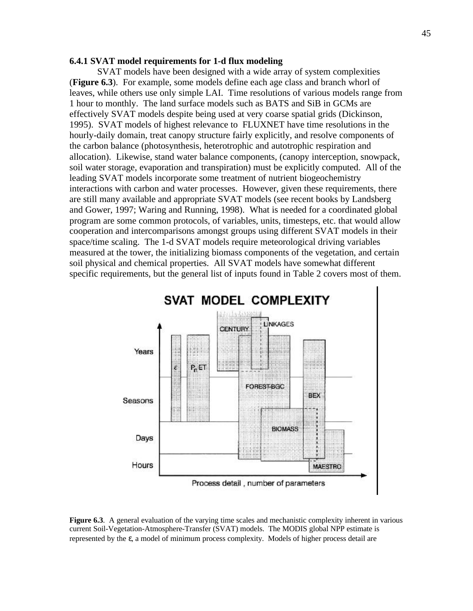#### **6.4.1 SVAT model requirements for 1-d flux modeling**

SVAT models have been designed with a wide array of system complexities (**Figure 6.3**). For example, some models define each age class and branch whorl of leaves, while others use only simple LAI. Time resolutions of various models range from 1 hour to monthly. The land surface models such as BATS and SiB in GCMs are effectively SVAT models despite being used at very coarse spatial grids (Dickinson, 1995). SVAT models of highest relevance to FLUXNET have time resolutions in the hourly-daily domain, treat canopy structure fairly explicitly, and resolve components of the carbon balance (photosynthesis, heterotrophic and autotrophic respiration and allocation). Likewise, stand water balance components, (canopy interception, snowpack, soil water storage, evaporation and transpiration) must be explicitly computed. All of the leading SVAT models incorporate some treatment of nutrient biogeochemistry interactions with carbon and water processes. However, given these requirements, there are still many available and appropriate SVAT models (see recent books by Landsberg and Gower, 1997; Waring and Running, 1998). What is needed for a coordinated global program are some common protocols, of variables, units, timesteps, etc. that would allow cooperation and intercomparisons amongst groups using different SVAT models in their space/time scaling. The 1-d SVAT models require meteorological driving variables measured at the tower, the initializing biomass components of the vegetation, and certain soil physical and chemical properties. All SVAT models have somewhat different specific requirements, but the general list of inputs found in Table 2 covers most of them.



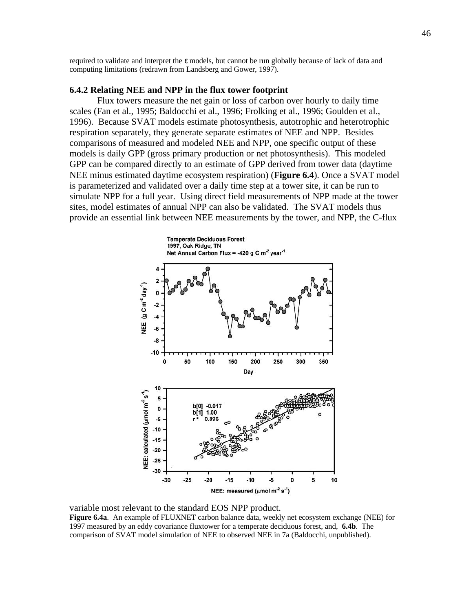required to validate and interpret the ε models, but cannot be run globally because of lack of data and computing limitations (redrawn from Landsberg and Gower, 1997).

#### **6.4.2 Relating NEE and NPP in the flux tower footprint**

Flux towers measure the net gain or loss of carbon over hourly to daily time scales (Fan et al., 1995; Baldocchi et al., 1996; Frolking et al., 1996; Goulden et al., 1996). Because SVAT models estimate photosynthesis, autotrophic and heterotrophic respiration separately, they generate separate estimates of NEE and NPP. Besides comparisons of measured and modeled NEE and NPP, one specific output of these models is daily GPP (gross primary production or net photosynthesis). This modeled GPP can be compared directly to an estimate of GPP derived from tower data (daytime NEE minus estimated daytime ecosystem respiration) (**Figure 6.4**). Once a SVAT model is parameterized and validated over a daily time step at a tower site, it can be run to simulate NPP for a full year. Using direct field measurements of NPP made at the tower sites, model estimates of annual NPP can also be validated. The SVAT models thus provide an essential link between NEE measurements by the tower, and NPP, the C-flux



variable most relevant to the standard EOS NPP product.

**Figure 6.4a**. An example of FLUXNET carbon balance data, weekly net ecosystem exchange (NEE) for 1997 measured by an eddy covariance fluxtower for a temperate deciduous forest, and, **6.4b**. The comparison of SVAT model simulation of NEE to observed NEE in 7a (Baldocchi, unpublished).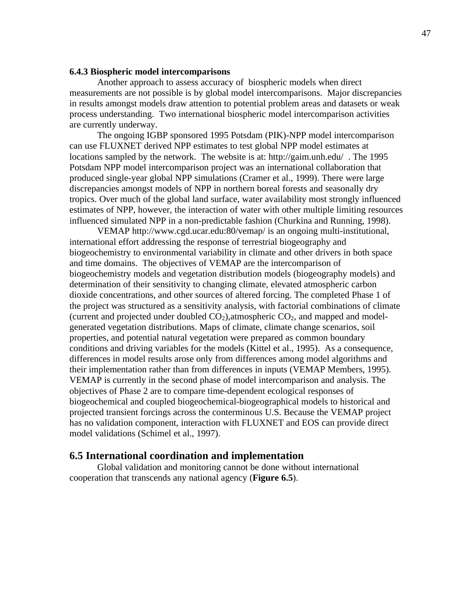#### **6.4.3 Biospheric model intercomparisons**

Another approach to assess accuracy of biospheric models when direct measurements are not possible is by global model intercomparisons. Major discrepancies in results amongst models draw attention to potential problem areas and datasets or weak process understanding. Two international biospheric model intercomparison activities are currently underway.

The ongoing IGBP sponsored 1995 Potsdam (PIK)-NPP model intercomparison can use FLUXNET derived NPP estimates to test global NPP model estimates at locations sampled by the network. The website is at: http://gaim.unh.edu/ . The 1995 Potsdam NPP model intercomparison project was an international collaboration that produced single-year global NPP simulations (Cramer et al., 1999). There were large discrepancies amongst models of NPP in northern boreal forests and seasonally dry tropics. Over much of the global land surface, water availability most strongly influenced estimates of NPP, however, the interaction of water with other multiple limiting resources influenced simulated NPP in a non-predictable fashion (Churkina and Running, 1998).

VEMAP http://www.cgd.ucar.edu:80/vemap/ is an ongoing multi-institutional, international effort addressing the response of terrestrial biogeography and biogeochemistry to environmental variability in climate and other drivers in both space and time domains. The objectives of VEMAP are the intercomparison of biogeochemistry models and vegetation distribution models (biogeography models) and determination of their sensitivity to changing climate, elevated atmospheric carbon dioxide concentrations, and other sources of altered forcing. The completed Phase 1 of the project was structured as a sensitivity analysis, with factorial combinations of climate (current and projected under doubled  $CO<sub>2</sub>$ ), atmospheric  $CO<sub>2</sub>$ , and mapped and modelgenerated vegetation distributions. Maps of climate, climate change scenarios, soil properties, and potential natural vegetation were prepared as common boundary conditions and driving variables for the models (Kittel et al., 1995). As a consequence, differences in model results arose only from differences among model algorithms and their implementation rather than from differences in inputs (VEMAP Members, 1995). VEMAP is currently in the second phase of model intercomparison and analysis. The objectives of Phase 2 are to compare time-dependent ecological responses of biogeochemical and coupled biogeochemical-biogeographical models to historical and projected transient forcings across the conterminous U.S. Because the VEMAP project has no validation component, interaction with FLUXNET and EOS can provide direct model validations (Schimel et al., 1997).

#### **6.5 International coordination and implementation**

Global validation and monitoring cannot be done without international cooperation that transcends any national agency (**Figure 6.5**).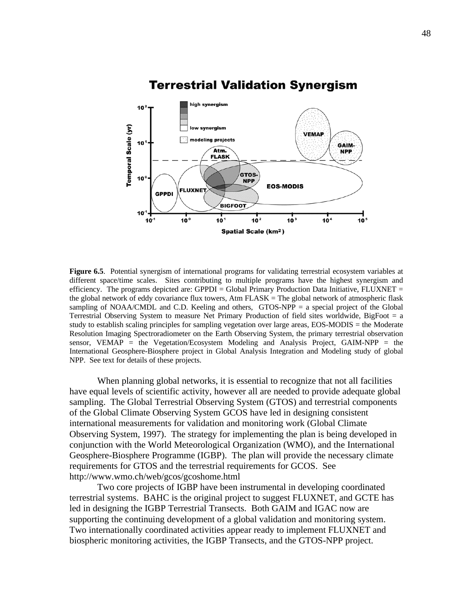

## **Terrestrial Validation Synergism**

**Figure 6.5**. Potential synergism of international programs for validating terrestrial ecosystem variables at different space/time scales. Sites contributing to multiple programs have the highest synergism and efficiency. The programs depicted are:  $GPPDI = Global Primary Production Data Initiative, FLUXNET =$ the global network of eddy covariance flux towers, Atm FLASK = The global network of atmospheric flask sampling of NOAA/CMDL and C.D. Keeling and others,  $GTOS-NPP = a$  special project of the Global Terrestrial Observing System to measure Net Primary Production of field sites worldwide, BigFoot = a study to establish scaling principles for sampling vegetation over large areas, EOS-MODIS = the Moderate Resolution Imaging Spectroradiometer on the Earth Observing System, the primary terrestrial observation sensor, VEMAP = the Vegetation/Ecosystem Modeling and Analysis Project, GAIM-NPP = the International Geosphere-Biosphere project in Global Analysis Integration and Modeling study of global NPP. See text for details of these projects.

When planning global networks, it is essential to recognize that not all facilities have equal levels of scientific activity, however all are needed to provide adequate global sampling. The Global Terrestrial Observing System (GTOS) and terrestrial components of the Global Climate Observing System GCOS have led in designing consistent international measurements for validation and monitoring work (Global Climate Observing System, 1997). The strategy for implementing the plan is being developed in conjunction with the World Meteorological Organization (WMO), and the International Geosphere-Biosphere Programme (IGBP). The plan will provide the necessary climate requirements for GTOS and the terrestrial requirements for GCOS. See http://www.wmo.ch/web/gcos/gcoshome.html

Two core projects of IGBP have been instrumental in developing coordinated terrestrial systems. BAHC is the original project to suggest FLUXNET, and GCTE has led in designing the IGBP Terrestrial Transects. Both GAIM and IGAC now are supporting the continuing development of a global validation and monitoring system. Two internationally coordinated activities appear ready to implement FLUXNET and biospheric monitoring activities, the IGBP Transects, and the GTOS-NPP project.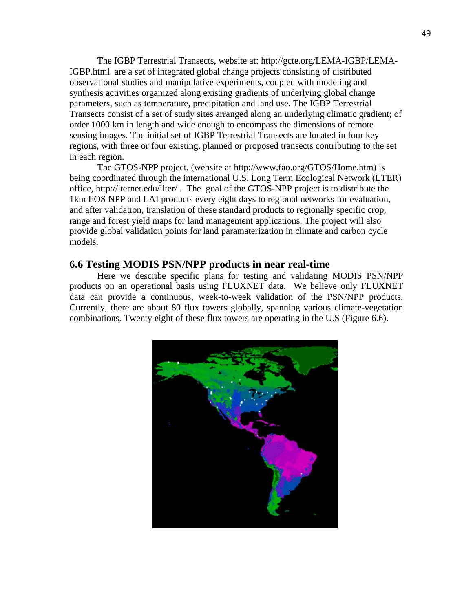The IGBP Terrestrial Transects, website at: http://gcte.org/LEMA-IGBP/LEMA-IGBP.htmlare a set of integrated global change projects consisting of distributed observational studies and manipulative experiments, coupled with modeling and synthesis activities organized along existing gradients of underlying global change parameters, such as temperature, precipitation and land use. The IGBP Terrestrial Transects consist of a set of study sites arranged along an underlying climatic gradient; of order 1000 km in length and wide enough to encompass the dimensions of remote sensing images. The initial set of IGBP Terrestrial Transects are located in four key regions, with three or four existing, planned or proposed transects contributing to the set in each region.

The GTOS-NPP project, (website at http://www.fao.org/GTOS/Home.htm) is being coordinated through the international U.S. Long Term Ecological Network (LTER) office, http://lternet.edu/ilter/ . The goal of the GTOS-NPP project is to distribute the 1km EOS NPP and LAI products every eight days to regional networks for evaluation, and after validation, translation of these standard products to regionally specific crop, range and forest yield maps for land management applications. The project will also provide global validation points for land paramaterization in climate and carbon cycle models.

### **6.6 Testing MODIS PSN/NPP products in near real-time**

Here we describe specific plans for testing and validating MODIS PSN/NPP products on an operational basis using FLUXNET data. We believe only FLUXNET data can provide a continuous, week-to-week validation of the PSN/NPP products. Currently, there are about 80 flux towers globally, spanning various climate-vegetation combinations. Twenty eight of these flux towers are operating in the U.S (Figure 6.6).

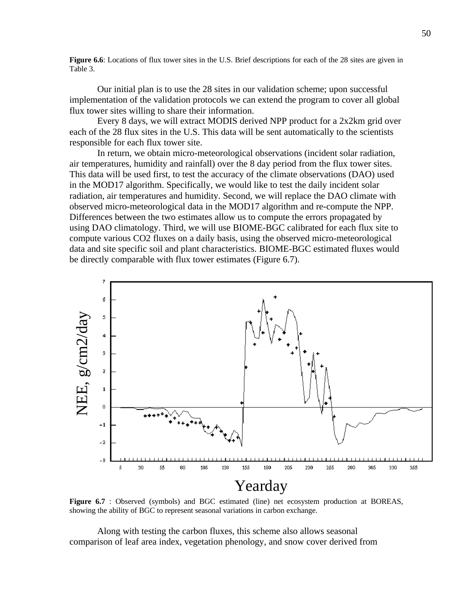**Figure 6.6**: Locations of flux tower sites in the U.S. Brief descriptions for each of the 28 sites are given in Table 3.

Our initial plan is to use the 28 sites in our validation scheme; upon successful implementation of the validation protocols we can extend the program to cover all global flux tower sites willing to share their information.

Every 8 days, we will extract MODIS derived NPP product for a 2x2km grid over each of the 28 flux sites in the U.S. This data will be sent automatically to the scientists responsible for each flux tower site.

In return, we obtain micro-meteorological observations (incident solar radiation, air temperatures, humidity and rainfall) over the 8 day period from the flux tower sites. This data will be used first, to test the accuracy of the climate observations (DAO) used in the MOD17 algorithm. Specifically, we would like to test the daily incident solar radiation, air temperatures and humidity. Second, we will replace the DAO climate with observed micro-meteorological data in the MOD17 algorithm and re-compute the NPP. Differences between the two estimates allow us to compute the errors propagated by using DAO climatology. Third, we will use BIOME-BGC calibrated for each flux site to compute various CO2 fluxes on a daily basis, using the observed micro-meteorological data and site specific soil and plant characteristics. BIOME-BGC estimated fluxes would be directly comparable with flux tower estimates (Figure 6.7).



Figure 6.7 : Observed (symbols) and BGC estimated (line) net ecosystem production at BOREAS. showing the ability of BGC to represent seasonal variations in carbon exchange.

Along with testing the carbon fluxes, this scheme also allows seasonal comparison of leaf area index, vegetation phenology, and snow cover derived from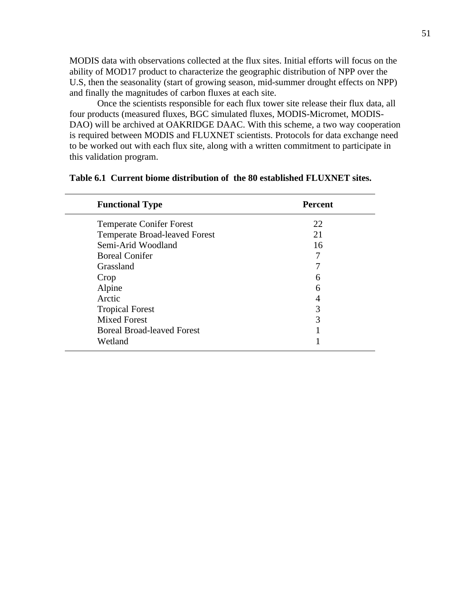MODIS data with observations collected at the flux sites. Initial efforts will focus on the ability of MOD17 product to characterize the geographic distribution of NPP over the U.S, then the seasonality (start of growing season, mid-summer drought effects on NPP) and finally the magnitudes of carbon fluxes at each site.

Once the scientists responsible for each flux tower site release their flux data, all four products (measured fluxes, BGC simulated fluxes, MODIS-Micromet, MODIS-DAO) will be archived at OAKRIDGE DAAC. With this scheme, a two way cooperation is required between MODIS and FLUXNET scientists. Protocols for data exchange need to be worked out with each flux site, along with a written commitment to participate in this validation program.

| <b>Functional Type</b>            | <b>Percent</b> |
|-----------------------------------|----------------|
| <b>Temperate Conifer Forest</b>   | 22             |
| Temperate Broad-leaved Forest     | 21             |
| Semi-Arid Woodland                | 16             |
| <b>Boreal Conifer</b>             |                |
| Grassland                         |                |
| Crop                              | 6              |
| Alpine                            | 6              |
| Arctic                            | 4              |
| <b>Tropical Forest</b>            | 3              |
| <b>Mixed Forest</b>               | 3              |
| <b>Boreal Broad-leaved Forest</b> |                |
| Wetland                           |                |

## **Table 6.1 Current biome distribution of the 80 established FLUXNET sites.**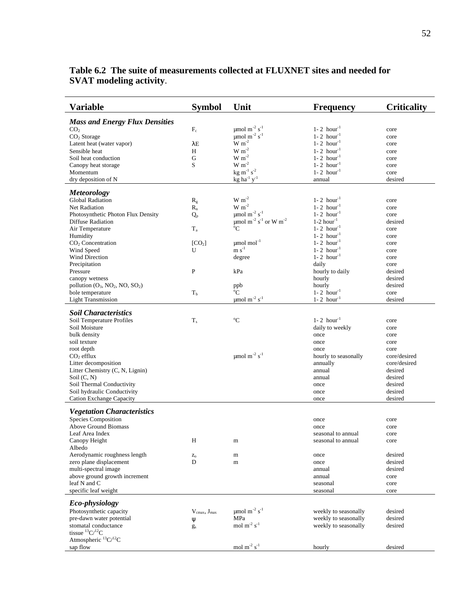## **Table 6.2 The suite of measurements collected at FLUXNET sites and needed for SVAT modeling activity**.

| <b>Variable</b>                       | <b>Symbol</b>                        | Unit                                                           | <b>Frequency</b>           | <b>Criticality</b> |
|---------------------------------------|--------------------------------------|----------------------------------------------------------------|----------------------------|--------------------|
| <b>Mass and Energy Flux Densities</b> |                                      |                                                                |                            |                    |
| CO <sub>2</sub>                       | $\rm F_c$                            | $\mu$ mol m <sup>-2</sup> s <sup>-1</sup>                      | $1 - 2$ hour <sup>1</sup>  | core               |
| $CO2$ Storage                         |                                      | $\mu$ mol m <sup>-2</sup> s <sup>-1</sup>                      | $1 - 2$ hour <sup>1</sup>  | core               |
| Latent heat (water vapor)             | $\lambda$ E                          | $W \, \text{m}^{-2}$                                           | $1 - 2$ hour <sup>1</sup>  | core               |
| Sensible heat                         | Η                                    | $\mbox{W}~\mbox{m}^{-2}$                                       | $1 - 2$ hour <sup>1</sup>  | core               |
| Soil heat conduction                  | $\mathsf G$                          | $W m^{-2}$                                                     | $1 - 2$ hour <sup>1</sup>  | core               |
| Canopy heat storage                   | S                                    | $W m^{-2}$                                                     | $1 - 2$ hour <sup>1</sup>  | core               |
| Momentum                              |                                      | $\rm kg~m^{\text{-}1}~s^{\text{-}2}$                           | $1 - 2$ hour <sup>1</sup>  | core               |
| dry deposition of N                   |                                      | $kg$ $ha^{-1}$ $y^{-1}$                                        | annual                     | desired            |
| <b>Meteorology</b>                    |                                      |                                                                |                            |                    |
| <b>Global Radiation</b>               | $R_g$                                | $W m^{-2}$                                                     | $1 - 2$ hour <sup>-1</sup> | core               |
| <b>Net Radiation</b>                  | $R_{n}$                              | $W m^{-2}$                                                     | $1 - 2$ hour <sup>-1</sup> | core               |
| Photosynthetic Photon Flux Density    | $\mathbf{Q}_{\text{p}}$              | $\mu$ mol m <sup>-2</sup> s <sup>-1</sup>                      | $1 - 2$ hour <sup>1</sup>  | core               |
| Diffuse Radiation                     |                                      | $\mu$ mol m <sup>-2</sup> s <sup>-1</sup> or W m <sup>-2</sup> | $1-2$ hour <sup>-1</sup>   | desired            |
| Air Temperature                       | $\rm T_a$                            | $^{\circ}C$                                                    | $1 - 2$ hour <sup>1</sup>  | core               |
| Humidity                              |                                      |                                                                | $1 - 2$ hour <sup>-1</sup> | core               |
| $CO2$ Concentration                   | [CO <sub>2</sub> ]                   | $\mu$ mol mol $^{-1}$                                          | $1 - 2$ hour <sup>1</sup>  | core               |
| Wind Speed                            | U                                    | $\rm \dot{m} \; \rm s^{-1}$                                    | $1 - 2$ hour <sup>1</sup>  | core               |
| Wind Direction                        |                                      | degree                                                         | $1 - 2$ hour <sup>1</sup>  | core               |
| Precipitation                         |                                      |                                                                | daily                      | core               |
| Pressure                              | $\mathbf{P}$                         | kPa                                                            | hourly to daily            | desired            |
| canopy wetness                        |                                      |                                                                | hourly                     | desired            |
| pollution $(O_3, NO_2, NO, SO_2)$     |                                      | ppb                                                            | hourly                     | desired            |
| bole temperature                      | T <sub>b</sub>                       | $^{\circ}C$                                                    | $1 - 2$ hour <sup>1</sup>  | core               |
| <b>Light Transmission</b>             |                                      | $\mu$ mol m <sup>-2</sup> s <sup>-1</sup>                      | $1 - 2$ hour <sup>-1</sup> | desired            |
| <b>Soil Characteristics</b>           |                                      |                                                                |                            |                    |
| Soil Temperature Profiles             | $T_{s}$                              | $^{\circ}C$                                                    | $1 - 2$ hour <sup>-1</sup> | core               |
| Soil Moisture                         |                                      |                                                                | daily to weekly            | core               |
| bulk density                          |                                      |                                                                | once                       | core               |
| soil texture                          |                                      |                                                                | once                       | core               |
| root depth                            |                                      |                                                                | once                       | core               |
| $CO2$ efflux                          |                                      | $\mu$ mol m <sup>-2</sup> s <sup>-1</sup>                      | hourly to seasonally       | core/desired       |
| Litter decomposition                  |                                      |                                                                | annually                   | core/desired       |
| Litter Chemistry (C, N, Lignin)       |                                      |                                                                | annual                     | desired            |
| Soil $(C, N)$                         |                                      |                                                                | annual                     | desired            |
| Soil Thermal Conductivity             |                                      |                                                                | once                       | desired            |
| Soil hydraulic Conductivity           |                                      |                                                                | once                       | desired            |
| Cation Exchange Capacity              |                                      |                                                                | once                       | desired            |
| <b>Vegetation Characteristics</b>     |                                      |                                                                |                            |                    |
| Species Composition                   |                                      |                                                                | once                       | core               |
| <b>Above Ground Biomass</b>           |                                      |                                                                | once                       | core               |
| Leaf Area Index                       |                                      |                                                                | seasonal to annual         | core               |
| Canopy Height                         | H                                    | m                                                              | seasonal to annual         | core               |
| Albedo                                |                                      |                                                                |                            |                    |
| Aerodynamic roughness length          | $Z_{0}$                              | m                                                              | once                       | desired            |
| zero plane displacement               | D                                    | m                                                              | once                       | desired            |
| multi-spectral image                  |                                      |                                                                | annual                     | desired            |
| above ground growth increment         |                                      |                                                                | annual                     | core               |
| leaf N and C                          |                                      |                                                                | seasonal                   | core               |
| specific leaf weight                  |                                      |                                                                | seasonal                   | core               |
| Eco-physiology                        |                                      |                                                                |                            |                    |
| Photosynthetic capacity               | $V_{\text{cmax}}$ , $J_{\text{max}}$ | $\mu$ mol m <sup>-2</sup> s <sup>-1</sup>                      | weekly to seasonally       | desired            |
| pre-dawn water potential              | Ψ                                    | MPa                                                            | weekly to seasonally       | desired            |
| stomatal conductance                  | $g_s$                                | mol m <sup>-2</sup> s <sup>-1</sup>                            | weekly to seasonally       | desired            |
| tissue ${}^{13}C/{}^{12}C$            |                                      |                                                                |                            |                    |
| Atmospheric ${}^{13}C/{}^{12}C$       |                                      |                                                                |                            |                    |
| sap flow                              |                                      | mol m <sup>-2</sup> s <sup>-1</sup>                            | hourly                     | desired            |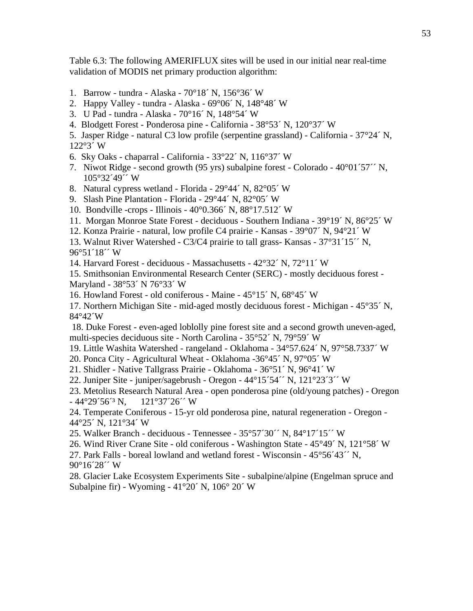Table 6.3: The following AMERIFLUX sites will be used in our initial near real-time validation of MODIS net primary production algorithm:

- 1. Barrow tundra Alaska 70°18´ N, 156°36´ W
- 2. Happy Valley tundra Alaska  $69^{\circ}06'$  N,  $148^{\circ}48'$  W
- 3. U Pad tundra Alaska 70°16´ N, 148°54´ W
- 4. Blodgett Forest Ponderosa pine California 38°53´ N, 120°37´ W
- 5. Jasper Ridge natural C3 low profile (serpentine grassland) California 37°24´ N, 122°3´ W
- 6. Sky Oaks chaparral California  $33^{\circ}22'$  N,  $116^{\circ}37'$  W
- 7. Niwot Ridge second growth (95 yrs) subalpine forest Colorado 40°01´57´´ N, 105°32´49´´ W
- 8. Natural cypress wetland Florida 29°44´ N, 82°05´ W
- 9. Slash Pine Plantation Florida 29°44´ N, 82°05´ W
- 10. Bondville -crops Illinois 40°0.366´ N, 88°17.512´ W
- 11. Morgan Monroe State Forest deciduous Southern Indiana 39°19´ N, 86°25´ W
- 12. Konza Prairie natural, low profile C4 prairie Kansas 39°07´ N, 94°21´ W
- 13. Walnut River Watershed C3/C4 prairie to tall grass- Kansas 37°31´15´´ N, 96°51´18´´ W
- 14. Harvard Forest deciduous Massachusetts 42°32´ N, 72°11´ W

15. Smithsonian Environmental Research Center (SERC) - mostly deciduous forest - Maryland - 38°53´ N 76°33´ W

- 16. Howland Forest old coniferous Maine 45°15´ N, 68°45´ W
- 17. Northern Michigan Site mid-aged mostly deciduous forest Michigan 45°35´ N, 84°42´W

 18. Duke Forest - even-aged loblolly pine forest site and a second growth uneven-aged, multi-species deciduous site - North Carolina - 35°52´ N, 79°59´ W

- 19. Little Washita Watershed rangeland Oklahoma 34°57.624´ N, 97°58.7337´ W
- 20. Ponca City Agricultural Wheat Oklahoma -36°45´ N, 97°05´ W
- 21. Shidler Native Tallgrass Prairie Oklahoma 36°51´ N, 96°41´ W
- 22. Juniper Site juniper/sagebrush Oregon 44°15´54´´ N, 121°23´3´´ W
- 23. Metolius Research Natural Area open ponderosa pine (old/young patches) Oregon  $-44^{\circ}29'56'3 \text{ N}, \qquad 121^{\circ}37'26'' \text{ W}$
- 24. Temperate Coniferous 15-yr old ponderosa pine, natural regeneration Oregon 44°25´ N, 121°34´ W
- 25. Walker Branch deciduous Tennessee 35°57´30´´ N, 84°17´15´´ W
- 26. Wind River Crane Site old coniferous Washington State 45°49´ N, 121°58´ W
- 27. Park Falls boreal lowland and wetland forest Wisconsin 45°56´43´´ N,
- $90^{\circ}16'28''$  W

28. Glacier Lake Ecosystem Experiments Site - subalpine/alpine (Engelman spruce and Subalpine fir) - Wyoming -  $41^{\circ}20'$  N,  $106^{\circ}$   $20'$  W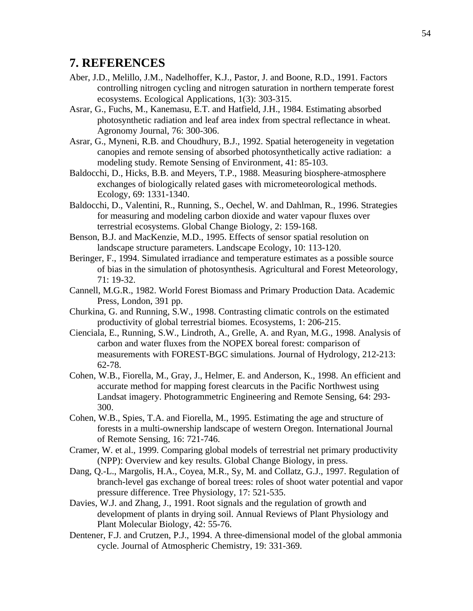## **7. REFERENCES**

- Aber, J.D., Melillo, J.M., Nadelhoffer, K.J., Pastor, J. and Boone, R.D., 1991. Factors controlling nitrogen cycling and nitrogen saturation in northern temperate forest ecosystems. Ecological Applications, 1(3): 303-315.
- Asrar, G., Fuchs, M., Kanemasu, E.T. and Hatfield, J.H., 1984. Estimating absorbed photosynthetic radiation and leaf area index from spectral reflectance in wheat. Agronomy Journal, 76: 300-306.
- Asrar, G., Myneni, R.B. and Choudhury, B.J., 1992. Spatial heterogeneity in vegetation canopies and remote sensing of absorbed photosynthetically active radiation: a modeling study. Remote Sensing of Environment, 41: 85-103.
- Baldocchi, D., Hicks, B.B. and Meyers, T.P., 1988. Measuring biosphere-atmosphere exchanges of biologically related gases with micrometeorological methods. Ecology, 69: 1331-1340.
- Baldocchi, D., Valentini, R., Running, S., Oechel, W. and Dahlman, R., 1996. Strategies for measuring and modeling carbon dioxide and water vapour fluxes over terrestrial ecosystems. Global Change Biology, 2: 159-168.
- Benson, B.J. and MacKenzie, M.D., 1995. Effects of sensor spatial resolution on landscape structure parameters. Landscape Ecology, 10: 113-120.
- Beringer, F., 1994. Simulated irradiance and temperature estimates as a possible source of bias in the simulation of photosynthesis. Agricultural and Forest Meteorology, 71: 19-32.
- Cannell, M.G.R., 1982. World Forest Biomass and Primary Production Data. Academic Press, London, 391 pp.
- Churkina, G. and Running, S.W., 1998. Contrasting climatic controls on the estimated productivity of global terrestrial biomes. Ecosystems, 1: 206-215.
- Cienciala, E., Running, S.W., Lindroth, A., Grelle, A. and Ryan, M.G., 1998. Analysis of carbon and water fluxes from the NOPEX boreal forest: comparison of measurements with FOREST-BGC simulations. Journal of Hydrology, 212-213: 62-78.
- Cohen, W.B., Fiorella, M., Gray, J., Helmer, E. and Anderson, K., 1998. An efficient and accurate method for mapping forest clearcuts in the Pacific Northwest using Landsat imagery. Photogrammetric Engineering and Remote Sensing, 64: 293- 300.
- Cohen, W.B., Spies, T.A. and Fiorella, M., 1995. Estimating the age and structure of forests in a multi-ownership landscape of western Oregon. International Journal of Remote Sensing, 16: 721-746.
- Cramer, W. et al., 1999. Comparing global models of terrestrial net primary productivity (NPP): Overview and key results. Global Change Biology, in press.
- Dang, Q.-L., Margolis, H.A., Coyea, M.R., Sy, M. and Collatz, G.J., 1997. Regulation of branch-level gas exchange of boreal trees: roles of shoot water potential and vapor pressure difference. Tree Physiology, 17: 521-535.
- Davies, W.J. and Zhang, J., 1991. Root signals and the regulation of growth and development of plants in drying soil. Annual Reviews of Plant Physiology and Plant Molecular Biology, 42: 55-76.
- Dentener, F.J. and Crutzen, P.J., 1994. A three-dimensional model of the global ammonia cycle. Journal of Atmospheric Chemistry, 19: 331-369.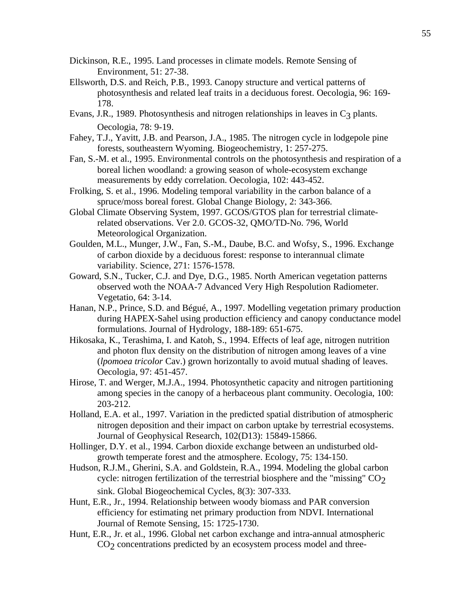- Dickinson, R.E., 1995. Land processes in climate models. Remote Sensing of Environment, 51: 27-38.
- Ellsworth, D.S. and Reich, P.B., 1993. Canopy structure and vertical patterns of photosynthesis and related leaf traits in a deciduous forest. Oecologia, 96: 169- 178.
- Evans, J.R., 1989. Photosynthesis and nitrogen relationships in leaves in C3 plants. Oecologia, 78: 9-19.
- Fahey, T.J., Yavitt, J.B. and Pearson, J.A., 1985. The nitrogen cycle in lodgepole pine forests, southeastern Wyoming. Biogeochemistry, 1: 257-275.
- Fan, S.-M. et al., 1995. Environmental controls on the photosynthesis and respiration of a boreal lichen woodland: a growing season of whole-ecosystem exchange measurements by eddy correlation. Oecologia, 102: 443-452.
- Frolking, S. et al., 1996. Modeling temporal variability in the carbon balance of a spruce/moss boreal forest. Global Change Biology, 2: 343-366.
- Global Climate Observing System, 1997. GCOS/GTOS plan for terrestrial climaterelated observations. Ver 2.0. GCOS-32, QMO/TD-No. 796, World Meteorological Organization.
- Goulden, M.L., Munger, J.W., Fan, S.-M., Daube, B.C. and Wofsy, S., 1996. Exchange of carbon dioxide by a deciduous forest: response to interannual climate variability. Science, 271: 1576-1578.
- Goward, S.N., Tucker, C.J. and Dye, D.G., 1985. North American vegetation patterns observed woth the NOAA-7 Advanced Very High Respolution Radiometer. Vegetatio, 64: 3-14.
- Hanan, N.P., Prince, S.D. and Bégué, A., 1997. Modelling vegetation primary production during HAPEX-Sahel using production efficiency and canopy conductance model formulations. Journal of Hydrology, 188-189: 651-675.
- Hikosaka, K., Terashima, I. and Katoh, S., 1994. Effects of leaf age, nitrogen nutrition and photon flux density on the distribution of nitrogen among leaves of a vine (*lpomoea tricolor* Cav.) grown horizontally to avoid mutual shading of leaves. Oecologia, 97: 451-457.
- Hirose, T. and Werger, M.J.A., 1994. Photosynthetic capacity and nitrogen partitioning among species in the canopy of a herbaceous plant community. Oecologia, 100: 203-212.
- Holland, E.A. et al., 1997. Variation in the predicted spatial distribution of atmospheric nitrogen deposition and their impact on carbon uptake by terrestrial ecosystems. Journal of Geophysical Research, 102(D13): 15849-15866.
- Hollinger, D.Y. et al., 1994. Carbon dioxide exchange between an undisturbed oldgrowth temperate forest and the atmosphere. Ecology, 75: 134-150.
- Hudson, R.J.M., Gherini, S.A. and Goldstein, R.A., 1994. Modeling the global carbon cycle: nitrogen fertilization of the terrestrial biosphere and the "missing"  $CO<sub>2</sub>$ sink. Global Biogeochemical Cycles, 8(3): 307-333.
- Hunt, E.R., Jr., 1994. Relationship between woody biomass and PAR conversion efficiency for estimating net primary production from NDVI. International Journal of Remote Sensing, 15: 1725-1730.
- Hunt, E.R., Jr. et al., 1996. Global net carbon exchange and intra-annual atmospheric CO<sub>2</sub> concentrations predicted by an ecosystem process model and three-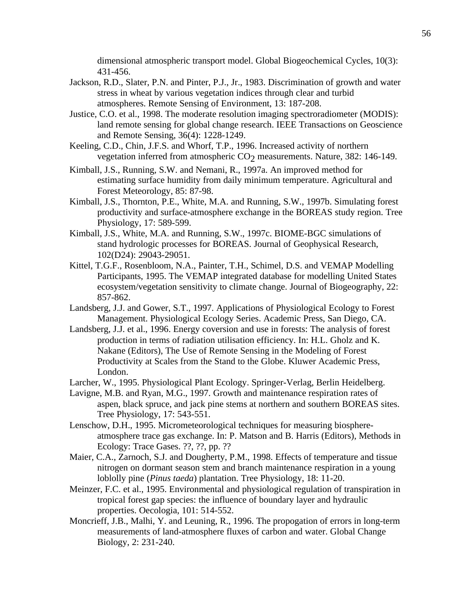dimensional atmospheric transport model. Global Biogeochemical Cycles, 10(3): 431-456.

- Jackson, R.D., Slater, P.N. and Pinter, P.J., Jr., 1983. Discrimination of growth and water stress in wheat by various vegetation indices through clear and turbid atmospheres. Remote Sensing of Environment, 13: 187-208.
- Justice, C.O. et al., 1998. The moderate resolution imaging spectroradiometer (MODIS): land remote sensing for global change research. IEEE Transactions on Geoscience and Remote Sensing, 36(4): 1228-1249.
- Keeling, C.D., Chin, J.F.S. and Whorf, T.P., 1996. Increased activity of northern vegetation inferred from atmospheric CO<sub>2</sub> measurements. Nature, 382: 146-149.
- Kimball, J.S., Running, S.W. and Nemani, R., 1997a. An improved method for estimating surface humidity from daily minimum temperature. Agricultural and Forest Meteorology, 85: 87-98.
- Kimball, J.S., Thornton, P.E., White, M.A. and Running, S.W., 1997b. Simulating forest productivity and surface-atmosphere exchange in the BOREAS study region. Tree Physiology, 17: 589-599.
- Kimball, J.S., White, M.A. and Running, S.W., 1997c. BIOME-BGC simulations of stand hydrologic processes for BOREAS. Journal of Geophysical Research, 102(D24): 29043-29051.
- Kittel, T.G.F., Rosenbloom, N.A., Painter, T.H., Schimel, D.S. and VEMAP Modelling Participants, 1995. The VEMAP integrated database for modelling United States ecosystem/vegetation sensitivity to climate change. Journal of Biogeography, 22: 857-862.
- Landsberg, J.J. and Gower, S.T., 1997. Applications of Physiological Ecology to Forest Management. Physiological Ecology Series. Academic Press, San Diego, CA.
- Landsberg, J.J. et al., 1996. Energy coversion and use in forests: The analysis of forest production in terms of radiation utilisation efficiency. In: H.L. Gholz and K. Nakane (Editors), The Use of Remote Sensing in the Modeling of Forest Productivity at Scales from the Stand to the Globe. Kluwer Academic Press, London.
- Larcher, W., 1995. Physiological Plant Ecology. Springer-Verlag, Berlin Heidelberg.
- Lavigne, M.B. and Ryan, M.G., 1997. Growth and maintenance respiration rates of aspen, black spruce, and jack pine stems at northern and southern BOREAS sites. Tree Physiology, 17: 543-551.
- Lenschow, D.H., 1995. Micrometeorological techniques for measuring biosphereatmosphere trace gas exchange. In: P. Matson and B. Harris (Editors), Methods in Ecology: Trace Gases. ??, ??, pp. ??
- Maier, C.A., Zarnoch, S.J. and Dougherty, P.M., 1998. Effects of temperature and tissue nitrogen on dormant season stem and branch maintenance respiration in a young loblolly pine (*Pinus taeda*) plantation. Tree Physiology, 18: 11-20.
- Meinzer, F.C. et al., 1995. Environmental and physiological regulation of transpiration in tropical forest gap species: the influence of boundary layer and hydraulic properties. Oecologia, 101: 514-552.
- Moncrieff, J.B., Malhi, Y. and Leuning, R., 1996. The propogation of errors in long-term measurements of land-atmosphere fluxes of carbon and water. Global Change Biology, 2: 231-240.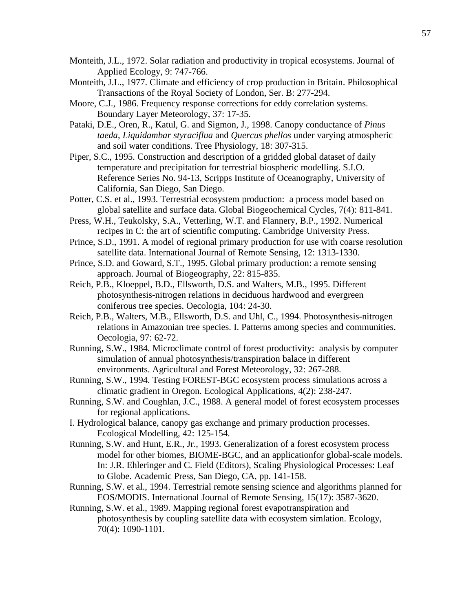- Monteith, J.L., 1972. Solar radiation and productivity in tropical ecosystems. Journal of Applied Ecology, 9: 747-766.
- Monteith, J.L., 1977. Climate and efficiency of crop production in Britain. Philosophical Transactions of the Royal Society of London, Ser. B: 277-294.
- Moore, C.J., 1986. Frequency response corrections for eddy correlation systems. Boundary Layer Meteorology, 37: 17-35.
- Pataki, D.E., Oren, R., Katul, G. and Sigmon, J., 1998. Canopy conductance of *Pinus taeda*, *Liquidambar styraciflua* and *Quercus phellos* under varying atmospheric and soil water conditions. Tree Physiology, 18: 307-315.
- Piper, S.C., 1995. Construction and description of a gridded global dataset of daily temperature and precipitation for terrestrial biospheric modelling. S.I.O. Reference Series No. 94-13, Scripps Institute of Oceanography, University of California, San Diego, San Diego.
- Potter, C.S. et al., 1993. Terrestrial ecosystem production: a process model based on global satellite and surface data. Global Biogeochemical Cycles, 7(4): 811-841.
- Press, W.H., Teukolsky, S.A., Vetterling, W.T. and Flannery, B.P., 1992. Numerical recipes in C: the art of scientific computing. Cambridge University Press.
- Prince, S.D., 1991. A model of regional primary production for use with coarse resolution satellite data. International Journal of Remote Sensing, 12: 1313-1330.
- Prince, S.D. and Goward, S.T., 1995. Global primary production: a remote sensing approach. Journal of Biogeography, 22: 815-835.
- Reich, P.B., Kloeppel, B.D., Ellsworth, D.S. and Walters, M.B., 1995. Different photosynthesis-nitrogen relations in deciduous hardwood and evergreen coniferous tree species. Oecologia, 104: 24-30.
- Reich, P.B., Walters, M.B., Ellsworth, D.S. and Uhl, C., 1994. Photosynthesis-nitrogen relations in Amazonian tree species. I. Patterns among species and communities. Oecologia, 97: 62-72.
- Running, S.W., 1984. Microclimate control of forest productivity: analysis by computer simulation of annual photosynthesis/transpiration balace in different environments. Agricultural and Forest Meteorology, 32: 267-288.
- Running, S.W., 1994. Testing FOREST-BGC ecosystem process simulations across a climatic gradient in Oregon. Ecological Applications, 4(2): 238-247.
- Running, S.W. and Coughlan, J.C., 1988. A general model of forest ecosystem processes for regional applications.
- I. Hydrological balance, canopy gas exchange and primary production processes. Ecological Modelling, 42: 125-154.
- Running, S.W. and Hunt, E.R., Jr., 1993. Generalization of a forest ecosystem process model for other biomes, BIOME-BGC, and an applicationfor global-scale models. In: J.R. Ehleringer and C. Field (Editors), Scaling Physiological Processes: Leaf to Globe. Academic Press, San Diego, CA, pp. 141-158.
- Running, S.W. et al., 1994. Terrestrial remote sensing science and algorithms planned for EOS/MODIS. International Journal of Remote Sensing, 15(17): 3587-3620.
- Running, S.W. et al., 1989. Mapping regional forest evapotranspiration and photosynthesis by coupling satellite data with ecosystem simlation. Ecology, 70(4): 1090-1101.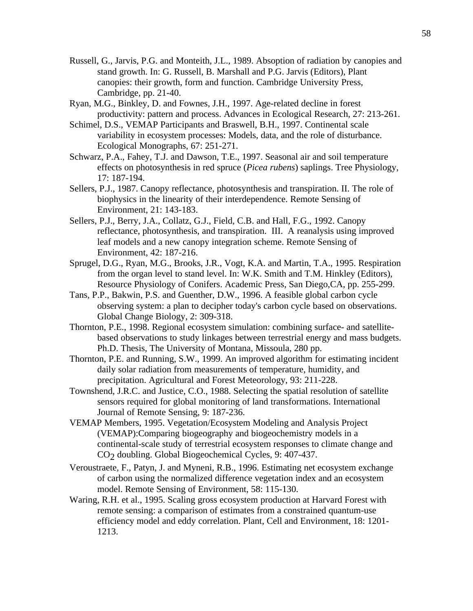- Russell, G., Jarvis, P.G. and Monteith, J.L., 1989. Absoption of radiation by canopies and stand growth. In: G. Russell, B. Marshall and P.G. Jarvis (Editors), Plant canopies: their growth, form and function. Cambridge University Press, Cambridge, pp. 21-40.
- Ryan, M.G., Binkley, D. and Fownes, J.H., 1997. Age-related decline in forest productivity: pattern and process. Advances in Ecological Research, 27: 213-261.
- Schimel, D.S., VEMAP Participants and Braswell, B.H., 1997. Continental scale variability in ecosystem processes: Models, data, and the role of disturbance. Ecological Monographs, 67: 251-271.
- Schwarz, P.A., Fahey, T.J. and Dawson, T.E., 1997. Seasonal air and soil temperature effects on photosynthesis in red spruce (*Picea rubens*) saplings. Tree Physiology, 17: 187-194.
- Sellers, P.J., 1987. Canopy reflectance, photosynthesis and transpiration. II. The role of biophysics in the linearity of their interdependence. Remote Sensing of Environment, 21: 143-183.
- Sellers, P.J., Berry, J.A., Collatz, G.J., Field, C.B. and Hall, F.G., 1992. Canopy reflectance, photosynthesis, and transpiration. III. A reanalysis using improved leaf models and a new canopy integration scheme. Remote Sensing of Environment, 42: 187-216.
- Sprugel, D.G., Ryan, M.G., Brooks, J.R., Vogt, K.A. and Martin, T.A., 1995. Respiration from the organ level to stand level. In: W.K. Smith and T.M. Hinkley (Editors), Resource Physiology of Conifers. Academic Press, San Diego,CA, pp. 255-299.
- Tans, P.P., Bakwin, P.S. and Guenther, D.W., 1996. A feasible global carbon cycle observing system: a plan to decipher today's carbon cycle based on observations. Global Change Biology, 2: 309-318.
- Thornton, P.E., 1998. Regional ecosystem simulation: combining surface- and satellitebased observations to study linkages between terrestrial energy and mass budgets. Ph.D. Thesis, The University of Montana, Missoula, 280 pp.
- Thornton, P.E. and Running, S.W., 1999. An improved algorithm for estimating incident daily solar radiation from measurements of temperature, humidity, and precipitation. Agricultural and Forest Meteorology, 93: 211-228.
- Townshend, J.R.C. and Justice, C.O., 1988. Selecting the spatial resolution of satellite sensors required for global monitoring of land transformations. International Journal of Remote Sensing, 9: 187-236.
- VEMAP Members, 1995. Vegetation/Ecosystem Modeling and Analysis Project (VEMAP):Comparing biogeography and biogeochemistry models in a continental-scale study of terrestrial ecosystem responses to climate change and CO2 doubling. Global Biogeochemical Cycles, 9: 407-437.
- Veroustraete, F., Patyn, J. and Myneni, R.B., 1996. Estimating net ecosystem exchange of carbon using the normalized difference vegetation index and an ecosystem model. Remote Sensing of Environment, 58: 115-130.
- Waring, R.H. et al., 1995. Scaling gross ecosystem production at Harvard Forest with remote sensing: a comparison of estimates from a constrained quantum-use efficiency model and eddy correlation. Plant, Cell and Environment, 18: 1201- 1213.